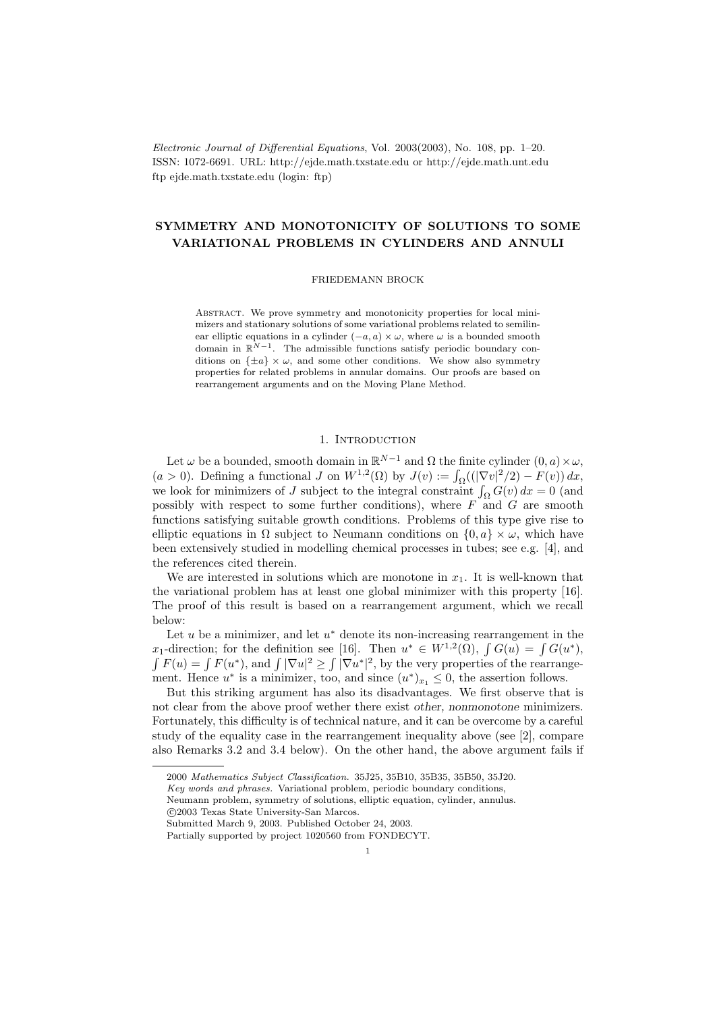Electronic Journal of Differential Equations, Vol. 2003(2003), No. 108, pp. 1–20. ISSN: 1072-6691. URL: http://ejde.math.txstate.edu or http://ejde.math.unt.edu ftp ejde.math.txstate.edu (login: ftp)

# SYMMETRY AND MONOTONICITY OF SOLUTIONS TO SOME VARIATIONAL PROBLEMS IN CYLINDERS AND ANNULI

#### FRIEDEMANN BROCK

Abstract. We prove symmetry and monotonicity properties for local minimizers and stationary solutions of some variational problems related to semilinear elliptic equations in a cylinder  $(-a, a) \times \omega$ , where  $\omega$  is a bounded smooth domain in  $\mathbb{R}^{N-1}$ . The admissible functions satisfy periodic boundary conditions on  $\{\pm a\} \times \omega$ , and some other conditions. We show also symmetry properties for related problems in annular domains. Our proofs are based on rearrangement arguments and on the Moving Plane Method.

## 1. INTRODUCTION

Let  $\omega$  be a bounded, smooth domain in  $\mathbb{R}^{N-1}$  and  $\Omega$  the finite cylinder  $(0, a) \times \omega$ ,  $(a > 0)$ . Defining a functional J on  $W^{1,2}(\Omega)$  by  $J(v) := \int_{\Omega} ((|\nabla v|^2/2) - F(v)) dx$ , we look for minimizers of J subject to the integral constraint  $\int_{\Omega} G(v) dx = 0$  (and possibly with respect to some further conditions), where  $F$  and  $G$  are smooth functions satisfying suitable growth conditions. Problems of this type give rise to elliptic equations in  $\Omega$  subject to Neumann conditions on  $\{0, a\} \times \omega$ , which have been extensively studied in modelling chemical processes in tubes; see e.g. [4], and the references cited therein.

We are interested in solutions which are monotone in  $x_1$ . It is well-known that the variational problem has at least one global minimizer with this property [16]. The proof of this result is based on a rearrangement argument, which we recall below:

Let  $u$  be a minimizer, and let  $u^*$  denote its non-increasing rearrangement in the x<sub>1</sub>-direction; for the definition see [16]. Then  $u^* \in W^{1,2}(\Omega)$ ,  $\int G(u) = \int G(u^*)$ ,  $\int F(u) = \int F(u^*)$ , and  $\int |\nabla u|^2 \ge \int |\nabla u^*|^2$ , by the very properties of the rearrangement. Hence  $u^*$  is a minimizer, too, and since  $(u^*)_{x_1} \leq 0$ , the assertion follows.

But this striking argument has also its disadvantages. We first observe that is not clear from the above proof wether there exist other, nonmonotone minimizers. Fortunately, this difficulty is of technical nature, and it can be overcome by a careful study of the equality case in the rearrangement inequality above (see [2], compare also Remarks 3.2 and 3.4 below). On the other hand, the above argument fails if

c 2003 Texas State University-San Marcos.

<sup>2000</sup> Mathematics Subject Classification. 35J25, 35B10, 35B35, 35B50, 35J20.

Key words and phrases. Variational problem, periodic boundary conditions,

Neumann problem, symmetry of solutions, elliptic equation, cylinder, annulus.

Submitted March 9, 2003. Published October 24, 2003.

Partially supported by project 1020560 from FONDECYT.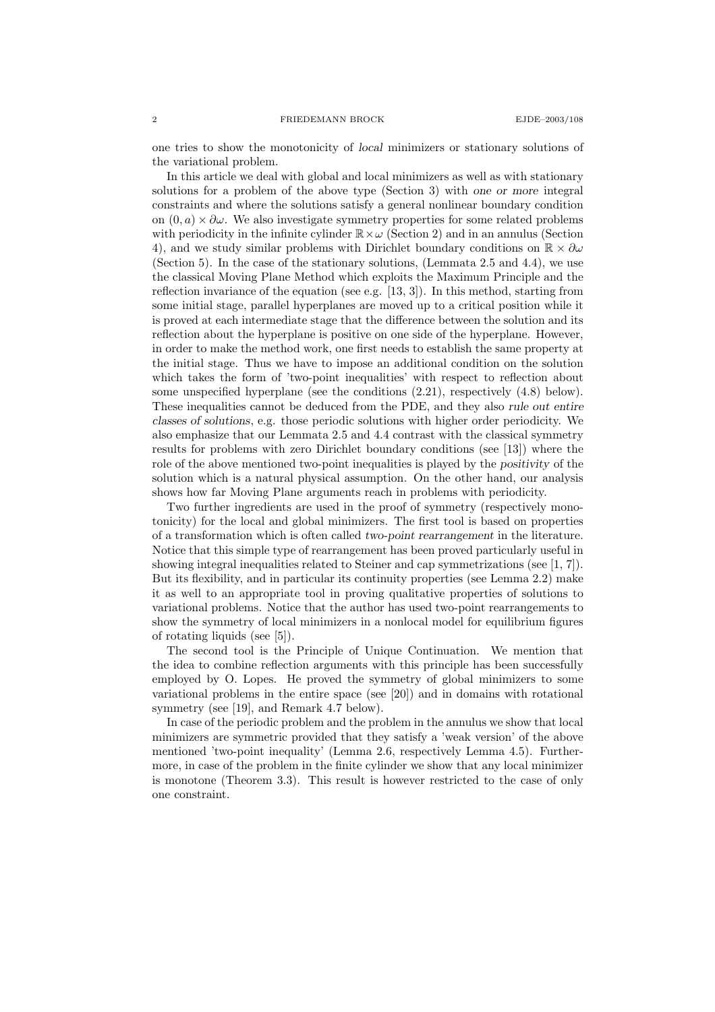2 FRIEDEMANN BROCK EJDE–2003/108

one tries to show the monotonicity of local minimizers or stationary solutions of the variational problem.

In this article we deal with global and local minimizers as well as with stationary solutions for a problem of the above type (Section 3) with one or more integral constraints and where the solutions satisfy a general nonlinear boundary condition on  $(0, a) \times \partial \omega$ . We also investigate symmetry properties for some related problems with periodicity in the infinite cylinder  $\mathbb{R}\times\omega$  (Section 2) and in an annulus (Section 4), and we study similar problems with Dirichlet boundary conditions on  $\mathbb{R} \times \partial \omega$ (Section 5). In the case of the stationary solutions, (Lemmata 2.5 and 4.4), we use the classical Moving Plane Method which exploits the Maximum Principle and the reflection invariance of the equation (see e.g. [13, 3]). In this method, starting from some initial stage, parallel hyperplanes are moved up to a critical position while it is proved at each intermediate stage that the difference between the solution and its reflection about the hyperplane is positive on one side of the hyperplane. However, in order to make the method work, one first needs to establish the same property at the initial stage. Thus we have to impose an additional condition on the solution which takes the form of 'two-point inequalities' with respect to reflection about some unspecified hyperplane (see the conditions (2.21), respectively (4.8) below). These inequalities cannot be deduced from the PDE, and they also rule out entire classes of solutions, e.g. those periodic solutions with higher order periodicity. We also emphasize that our Lemmata 2.5 and 4.4 contrast with the classical symmetry results for problems with zero Dirichlet boundary conditions (see [13]) where the role of the above mentioned two-point inequalities is played by the positivity of the solution which is a natural physical assumption. On the other hand, our analysis shows how far Moving Plane arguments reach in problems with periodicity.

Two further ingredients are used in the proof of symmetry (respectively monotonicity) for the local and global minimizers. The first tool is based on properties of a transformation which is often called two-point rearrangement in the literature. Notice that this simple type of rearrangement has been proved particularly useful in showing integral inequalities related to Steiner and cap symmetrizations (see [1, 7]). But its flexibility, and in particular its continuity properties (see Lemma 2.2) make it as well to an appropriate tool in proving qualitative properties of solutions to variational problems. Notice that the author has used two-point rearrangements to show the symmetry of local minimizers in a nonlocal model for equilibrium figures of rotating liquids (see [5]).

The second tool is the Principle of Unique Continuation. We mention that the idea to combine reflection arguments with this principle has been successfully employed by O. Lopes. He proved the symmetry of global minimizers to some variational problems in the entire space (see [20]) and in domains with rotational symmetry (see [19], and Remark 4.7 below).

In case of the periodic problem and the problem in the annulus we show that local minimizers are symmetric provided that they satisfy a 'weak version' of the above mentioned 'two-point inequality' (Lemma 2.6, respectively Lemma 4.5). Furthermore, in case of the problem in the finite cylinder we show that any local minimizer is monotone (Theorem 3.3). This result is however restricted to the case of only one constraint.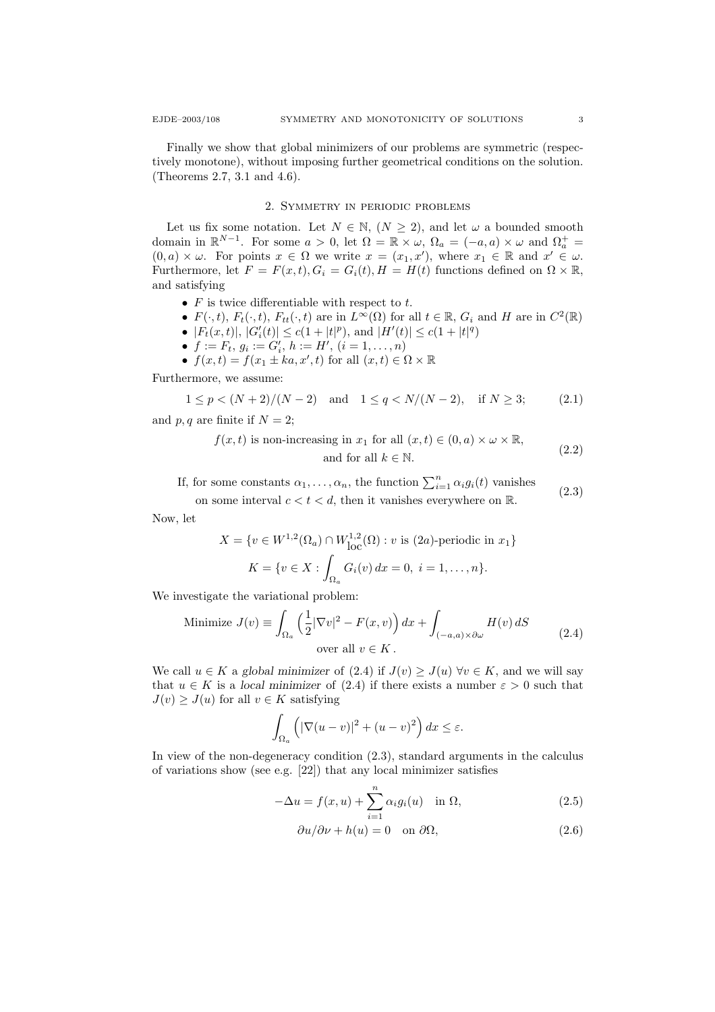Finally we show that global minimizers of our problems are symmetric (respectively monotone), without imposing further geometrical conditions on the solution. (Theorems 2.7, 3.1 and 4.6).

## 2. Symmetry in periodic problems

Let us fix some notation. Let  $N \in \mathbb{N}$ ,  $(N \geq 2)$ , and let  $\omega$  a bounded smooth domain in  $\mathbb{R}^{N-1}$ . For some  $a > 0$ , let  $\Omega = \mathbb{R} \times \omega$ ,  $\Omega_a = (-a, a) \times \omega$  and  $\Omega_a^+$  $(0, a) \times \omega$ . For points  $x \in \Omega$  we write  $x = (x_1, x')$ , where  $x_1 \in \mathbb{R}$  and  $x' \in \omega$ . Furthermore, let  $F = F(x, t), G_i = G_i(t), H = H(t)$  functions defined on  $\Omega \times \mathbb{R}$ , and satisfying

- $F$  is twice differentiable with respect to  $t$ .
- $F(\cdot, t)$ ,  $F_t(\cdot, t)$ ,  $F_{tt}(\cdot, t)$  are in  $L^{\infty}(\Omega)$  for all  $t \in \mathbb{R}$ ,  $G_i$  and H are in  $C^2(\mathbb{R})$
- $|F_t(x,t)|, |G'_i(t)| \le c(1+|t|^p),$  and  $|H'(t)| \le c(1+|t|^q)$
- $f := F_t, g_i := G'_i, h := H', (i = 1, \ldots, n)$
- $f(x,t) = f(x_1 \pm k a, x', t)$  for all  $(x,t) \in \Omega \times \mathbb{R}$

Furthermore, we assume:

$$
1 \le p < (N+2)/(N-2) \quad \text{and} \quad 1 \le q < N/(N-2), \quad \text{if } N \ge 3; \tag{2.1}
$$

and  $p, q$  are finite if  $N = 2$ ;

$$
f(x,t) \text{ is non-increasing in } x_1 \text{ for all } (x,t) \in (0,a) \times \omega \times \mathbb{R},
$$
  
and for all  $k \in \mathbb{N}.$  (2.2)

If, for some constants  $\alpha_1, \ldots, \alpha_n$ , the function  $\sum_{i=1}^n \alpha_i g_i(t)$  vanishes on some interval  $c < t < d$ , then it vanishes everywhere on  $\mathbb{R}$ . (2.3)

Now, let

$$
X = \{v \in W^{1,2}(\Omega_a) \cap W^{1,2}_{loc}(\Omega) : v \text{ is (2a)-periodic in } x_1\}
$$

$$
K = \{v \in X : \int_{\Omega_a} G_i(v) dx = 0, i = 1,...,n\}.
$$

We investigate the variational problem:

Minimize 
$$
J(v) \equiv \int_{\Omega_a} \left(\frac{1}{2} |\nabla v|^2 - F(x, v)\right) dx + \int_{(-a, a) \times \partial \omega} H(v) dS
$$
  
over all  $v \in K$ . (2.4)

We call  $u \in K$  a global minimizer of  $(2.4)$  if  $J(v) \geq J(u) \,\forall v \in K$ , and we will say that  $u \in K$  is a local minimizer of (2.4) if there exists a number  $\varepsilon > 0$  such that  $J(v) \geq J(u)$  for all  $v \in K$  satisfying

$$
\int_{\Omega_a} \left( |\nabla (u - v)|^2 + (u - v)^2 \right) dx \le \varepsilon.
$$

In view of the non-degeneracy condition (2.3), standard arguments in the calculus of variations show (see e.g. [22]) that any local minimizer satisfies

$$
-\Delta u = f(x, u) + \sum_{i=1}^{n} \alpha_i g_i(u) \quad \text{in } \Omega,
$$
\n(2.5)

$$
\frac{\partial u}{\partial \nu} + h(u) = 0 \quad \text{on } \partial \Omega,
$$
\n(2.6)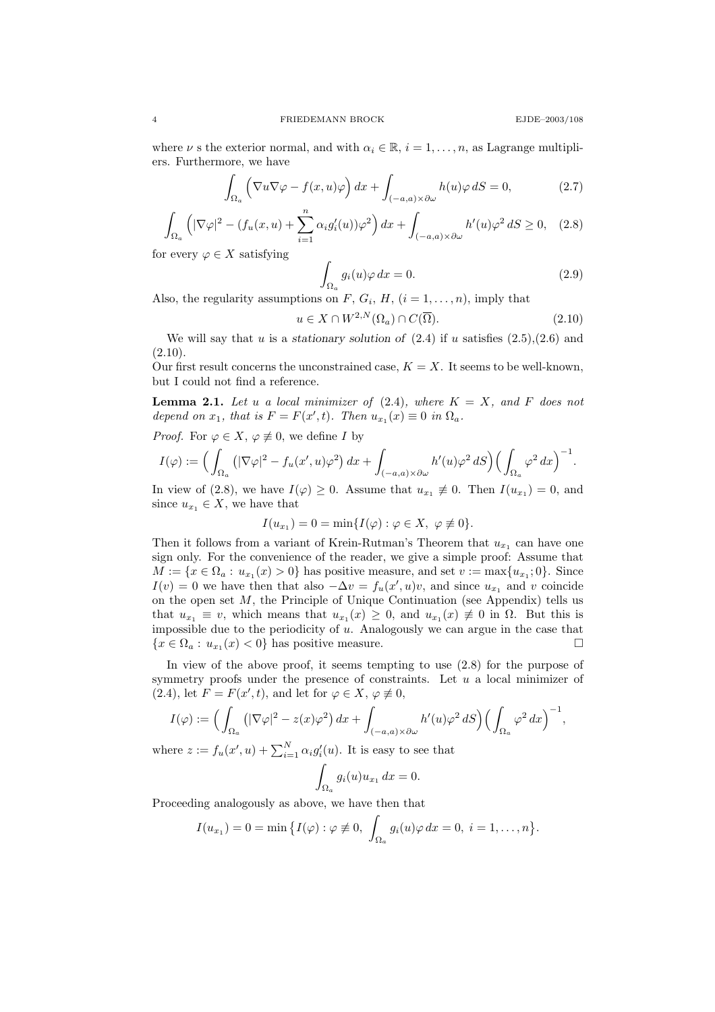where  $\nu$  s the exterior normal, and with  $\alpha_i \in \mathbb{R}$ ,  $i = 1, \ldots, n$ , as Lagrange multipliers. Furthermore, we have

$$
\int_{\Omega_a} \left( \nabla u \nabla \varphi - f(x, u)\varphi \right) dx + \int_{(-a, a) \times \partial \omega} h(u)\varphi \, dS = 0, \tag{2.7}
$$

$$
\int_{\Omega_a} \left( |\nabla \varphi|^2 - (f_u(x, u) + \sum_{i=1}^n \alpha_i g_i'(u)) \varphi^2 \right) dx + \int_{(-a, a) \times \partial \omega} h'(u) \varphi^2 dS \ge 0, \quad (2.8)
$$

for every  $\varphi \in X$  satisfying

$$
\int_{\Omega_a} g_i(u)\varphi \, dx = 0. \tag{2.9}
$$

Also, the regularity assumptions on  $F, G_i, H, (i = 1, ..., n)$ , imply that

$$
u \in X \cap W^{2,N}(\Omega_a) \cap C(\overline{\Omega}).\tag{2.10}
$$

We will say that u is a stationary solution of  $(2.4)$  if u satisfies  $(2.5),(2.6)$  and  $(2.10).$ 

Our first result concerns the unconstrained case,  $K = X$ . It seems to be well-known, but I could not find a reference.

**Lemma 2.1.** Let u a local minimizer of  $(2.4)$ , where  $K = X$ , and F does not depend on  $x_1$ , that is  $F = F(x', t)$ . Then  $u_{x_1}(x) \equiv 0$  in  $\Omega_a$ .

*Proof.* For 
$$
\varphi \in X
$$
,  $\varphi \not\equiv 0$ , we define I by

$$
I(\varphi) := \Big( \int_{\Omega_a} \left( |\nabla \varphi|^2 - f_u(x', u) \varphi^2 \right) dx + \int_{(-a,a) \times \partial \omega} h'(u) \varphi^2 dS \Big) \Big( \int_{\Omega_a} \varphi^2 d\xi \Big)^{-1}.
$$

In view of (2.8), we have  $I(\varphi) \geq 0$ . Assume that  $u_{x_1} \not\equiv 0$ . Then  $I(u_{x_1}) = 0$ , and since  $u_{x_1} \in X$ , we have that

$$
I(u_{x_1}) = 0 = \min\{I(\varphi) : \varphi \in X, \ \varphi \not\equiv 0\}.
$$

Then it follows from a variant of Krein-Rutman's Theorem that  $u_{x_1}$  can have one sign only. For the convenience of the reader, we give a simple proof: Assume that  $M := \{x \in \Omega_a : u_{x_1}(x) > 0\}$  has positive measure, and set  $v := \max\{u_{x_1}; 0\}$ . Since  $I(v) = 0$  we have then that also  $-\Delta v = f_u(x', u)v$ , and since  $u_{x_1}$  and v coincide on the open set  $M$ , the Principle of Unique Continuation (see Appendix) tells us that  $u_{x_1} \equiv v$ , which means that  $u_{x_1}(x) \geq 0$ , and  $u_{x_1}(x) \not\equiv 0$  in  $\Omega$ . But this is impossible due to the periodicity of  $u$ . Analogously we can argue in the case that  ${x \in \Omega_a : u_{x_1}(x) < 0}$  has positive measure.

In view of the above proof, it seems tempting to use  $(2.8)$  for the purpose of symmetry proofs under the presence of constraints. Let  $u$  a local minimizer of  $(2.4)$ , let  $F = F(x', t)$ , and let for  $\varphi \in X$ ,  $\varphi \not\equiv 0$ ,

$$
I(\varphi) := \Big( \int_{\Omega_a} \left( |\nabla \varphi|^2 - z(x) \varphi^2 \right) dx + \int_{(-a,a) \times \partial \omega} h'(u) \varphi^2 dS \Big) \Big( \int_{\Omega_a} \varphi^2 dx \Big)^{-1},
$$

where  $z := f_u(x', u) + \sum_{i=1}^N \alpha_i g_i'(u)$ . It is easy to see that

$$
\int_{\Omega_a} g_i(u) u_{x_1} dx = 0.
$$

Proceeding analogously as above, we have then that

$$
I(u_{x_1}) = 0 = \min \{ I(\varphi) : \varphi \not\equiv 0, \int_{\Omega_a} g_i(u)\varphi \, dx = 0, \ i = 1, \dots, n \}.
$$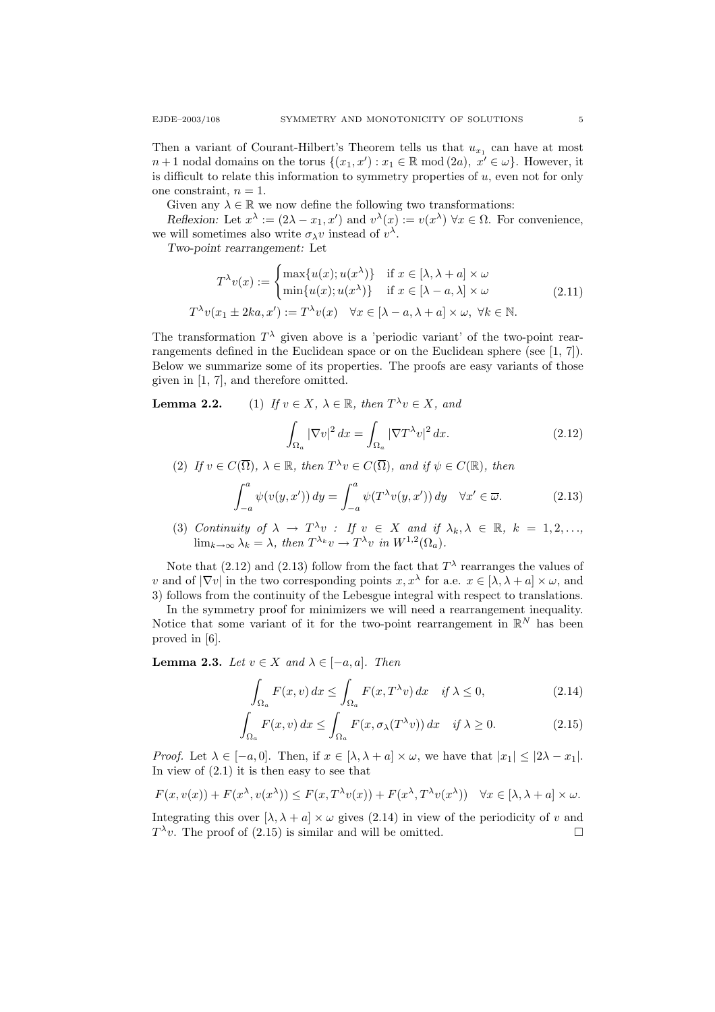Then a variant of Courant-Hilbert's Theorem tells us that  $u_{x_1}$  can have at most  $n+1$  nodal domains on the torus  $\{(x_1, x'): x_1 \in \mathbb{R} \text{ mod } (2a), x' \in \omega\}$ . However, it is difficult to relate this information to symmetry properties of  $u$ , even not for only one constraint,  $n = 1$ .

Given any  $\lambda \in \mathbb{R}$  we now define the following two transformations:

Reflexion: Let  $x^{\lambda} := (2\lambda - x_1, x')$  and  $v^{\lambda}(x) := v(x^{\lambda}) \,\forall x \in \Omega$ . For convenience, we will sometimes also write  $\sigma_{\lambda} v$  instead of  $v^{\lambda}$ .

Two-point rearrangement: Let

$$
T^{\lambda}v(x) := \begin{cases} \max\{u(x); u(x^{\lambda})\} & \text{if } x \in [\lambda, \lambda + a] \times \omega \\ \min\{u(x); u(x^{\lambda})\} & \text{if } x \in [\lambda - a, \lambda] \times \omega \end{cases}
$$
  

$$
T^{\lambda}v(x_1 \pm 2ka, x') := T^{\lambda}v(x) \quad \forall x \in [\lambda - a, \lambda + a] \times \omega, \forall k \in \mathbb{N}.
$$
 (2.11)

The transformation  $T^{\lambda}$  given above is a 'periodic variant' of the two-point rearrangements defined in the Euclidean space or on the Euclidean sphere (see [1, 7]). Below we summarize some of its properties. The proofs are easy variants of those given in [1, 7], and therefore omitted.

**Lemma 2.2.** (1) If  $v \in X$ ,  $\lambda \in \mathbb{R}$ , then  $T^{\lambda}v \in X$ , and

$$
\int_{\Omega_a} |\nabla v|^2 dx = \int_{\Omega_a} |\nabla T^\lambda v|^2 dx.
$$
\n(2.12)

(2) If  $v \in C(\overline{\Omega})$ ,  $\lambda \in \mathbb{R}$ , then  $T^{\lambda}v \in C(\overline{\Omega})$ , and if  $\psi \in C(\mathbb{R})$ , then

$$
\int_{-a}^{a} \psi(v(y, x')) dy = \int_{-a}^{a} \psi(T^{\lambda}v(y, x')) dy \quad \forall x' \in \overline{\omega}.
$$
 (2.13)

(3) Continuity of  $\lambda \to T^{\lambda}v$ : If  $v \in X$  and if  $\lambda_k, \lambda \in \mathbb{R}$ ,  $k = 1, 2, ...,$  $\lim_{k\to\infty}\lambda_k=\lambda$ , then  $T^{\lambda_k}v\to T^{\lambda}v$  in  $W^{1,2}(\Omega_a)$ .

Note that (2.12) and (2.13) follow from the fact that  $T^{\lambda}$  rearranges the values of v and of  $|\nabla v|$  in the two corresponding points  $x, x^{\lambda}$  for a.e.  $x \in [\lambda, \lambda + a] \times \omega$ , and 3) follows from the continuity of the Lebesgue integral with respect to translations.

In the symmetry proof for minimizers we will need a rearrangement inequality. Notice that some variant of it for the two-point rearrangement in  $\mathbb{R}^N$  has been proved in [6].

**Lemma 2.3.** Let  $v \in X$  and  $\lambda \in [-a, a]$ . Then

$$
\int_{\Omega_a} F(x, v) dx \le \int_{\Omega_a} F(x, T^{\lambda} v) dx \quad \text{if } \lambda \le 0,
$$
\n(2.14)

$$
\int_{\Omega_a} F(x, v) dx \le \int_{\Omega_a} F(x, \sigma_\lambda(T^\lambda v)) dx \quad \text{if } \lambda \ge 0.
$$
 (2.15)

*Proof.* Let  $\lambda \in [-a, 0]$ . Then, if  $x \in [\lambda, \lambda + a] \times \omega$ , we have that  $|x_1| \leq |2\lambda - x_1|$ . In view of  $(2.1)$  it is then easy to see that

$$
F(x, v(x)) + F(x^{\lambda}, v(x^{\lambda})) \le F(x, T^{\lambda}v(x)) + F(x^{\lambda}, T^{\lambda}v(x^{\lambda})) \quad \forall x \in [\lambda, \lambda + a] \times \omega.
$$

Integrating this over  $[\lambda, \lambda + a] \times \omega$  gives (2.14) in view of the periodicity of v and  $T^{\lambda}v$ . The proof of (2.15) is similar and will be omitted.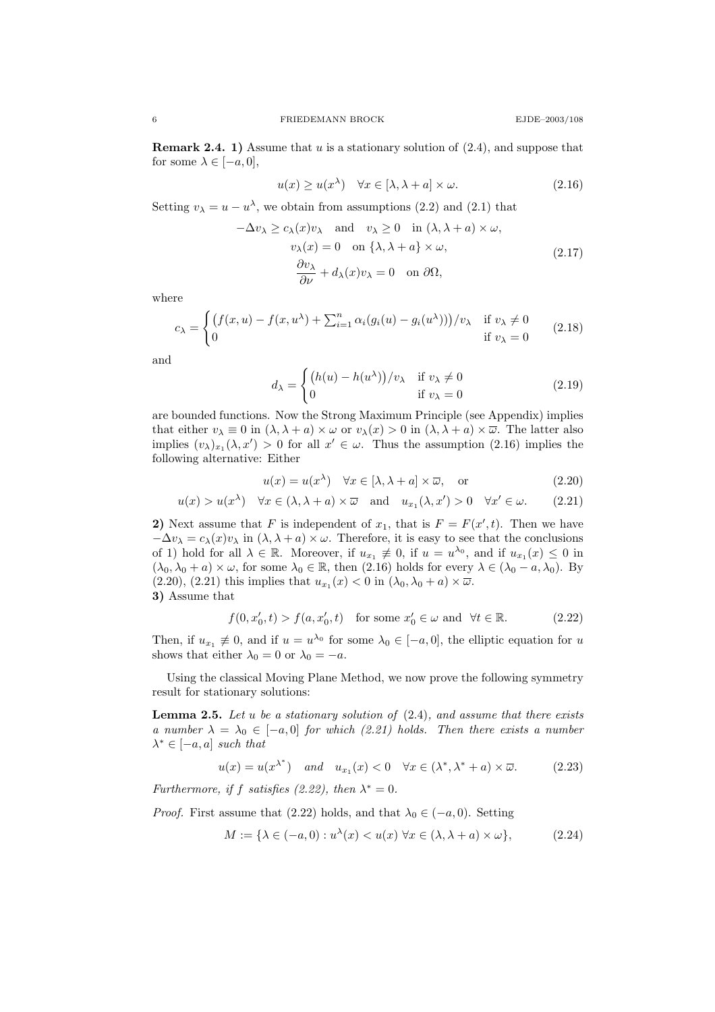**Remark 2.4. 1)** Assume that u is a stationary solution of  $(2.4)$ , and suppose that for some  $\lambda \in [-a, 0],$ 

$$
u(x) \ge u(x^{\lambda}) \quad \forall x \in [\lambda, \lambda + a] \times \omega. \tag{2.16}
$$

Setting  $v_{\lambda} = u - u^{\lambda}$ , we obtain from assumptions (2.2) and (2.1) that

$$
-\Delta v_{\lambda} \ge c_{\lambda}(x)v_{\lambda} \text{ and } v_{\lambda} \ge 0 \text{ in } (\lambda, \lambda + a) \times \omega,
$$
  

$$
v_{\lambda}(x) = 0 \text{ on } {\lambda, \lambda + a} \times \omega,
$$
  

$$
\frac{\partial v_{\lambda}}{\partial \nu} + d_{\lambda}(x)v_{\lambda} = 0 \text{ on } \partial \Omega,
$$
 (2.17)

where

$$
c_{\lambda} = \begin{cases} \left( f(x, u) - f(x, u^{\lambda}) + \sum_{i=1}^{n} \alpha_i (g_i(u) - g_i(u^{\lambda})) \right) / v_{\lambda} & \text{if } v_{\lambda} \neq 0\\ 0 & \text{if } v_{\lambda} = 0 \end{cases}
$$
 (2.18)

and

$$
d_{\lambda} = \begin{cases} (h(u) - h(u^{\lambda})) / v_{\lambda} & \text{if } v_{\lambda} \neq 0 \\ 0 & \text{if } v_{\lambda} = 0 \end{cases}
$$
(2.19)

are bounded functions. Now the Strong Maximum Principle (see Appendix) implies that either  $v_{\lambda} \equiv 0$  in  $(\lambda, \lambda + a) \times \omega$  or  $v_{\lambda}(x) > 0$  in  $(\lambda, \lambda + a) \times \overline{\omega}$ . The latter also implies  $(v_\lambda)_{x_1}(\lambda, x') > 0$  for all  $x' \in \omega$ . Thus the assumption (2.16) implies the following alternative: Either

$$
u(x) = u(x^{\lambda}) \quad \forall x \in [\lambda, \lambda + a] \times \overline{\omega}, \quad \text{or} \tag{2.20}
$$

$$
u(x) > u(x^{\lambda}) \quad \forall x \in (\lambda, \lambda + a) \times \overline{\omega} \quad \text{and} \quad u_{x_1}(\lambda, x') > 0 \quad \forall x' \in \omega.
$$
 (2.21)

2) Next assume that F is independent of  $x_1$ , that is  $F = F(x', t)$ . Then we have  $-\Delta v_\lambda = c_\lambda(x)v_\lambda$  in  $(\lambda, \lambda + a) \times \omega$ . Therefore, it is easy to see that the conclusions of 1) hold for all  $\lambda \in \mathbb{R}$ . Moreover, if  $u_{x_1} \neq 0$ , if  $u = u^{\lambda_0}$ , and if  $u_{x_1}(x) \leq 0$  in  $(\lambda_0, \lambda_0 + a) \times \omega$ , for some  $\lambda_0 \in \mathbb{R}$ , then  $(2.16)$  holds for every  $\lambda \in (\lambda_0 - a, \lambda_0)$ . By  $(2.20), (2.21)$  this implies that  $u_{x_1}(x) < 0$  in  $(\lambda_0, \lambda_0 + a) \times \overline{\omega}$ . 3) Assume that

$$
f(0, x'_0, t) > f(a, x'_0, t) \quad \text{for some } x'_0 \in \omega \text{ and } \forall t \in \mathbb{R}.\tag{2.22}
$$

Then, if  $u_{x_1} \neq 0$ , and if  $u = u^{\lambda_0}$  for some  $\lambda_0 \in [-a, 0]$ , the elliptic equation for u shows that either  $\lambda_0 = 0$  or  $\lambda_0 = -a$ .

Using the classical Moving Plane Method, we now prove the following symmetry result for stationary solutions:

**Lemma 2.5.** Let u be a stationary solution of  $(2.4)$ , and assume that there exists a number  $\lambda = \lambda_0 \in [-a, 0]$  for which (2.21) holds. Then there exists a number  $\lambda^* \in [-a, a]$  such that

$$
u(x) = u(x^{\lambda^*}) \quad and \quad u_{x_1}(x) < 0 \quad \forall x \in (\lambda^*, \lambda^* + a) \times \overline{\omega}. \tag{2.23}
$$

Furthermore, if f satisfies (2.22), then  $\lambda^* = 0$ .

*Proof.* First assume that (2.22) holds, and that  $\lambda_0 \in (-a, 0)$ . Setting

$$
M := \{ \lambda \in (-a, 0) : u^{\lambda}(x) < u(x) \,\,\forall x \in (\lambda, \lambda + a) \times \omega \},\tag{2.24}
$$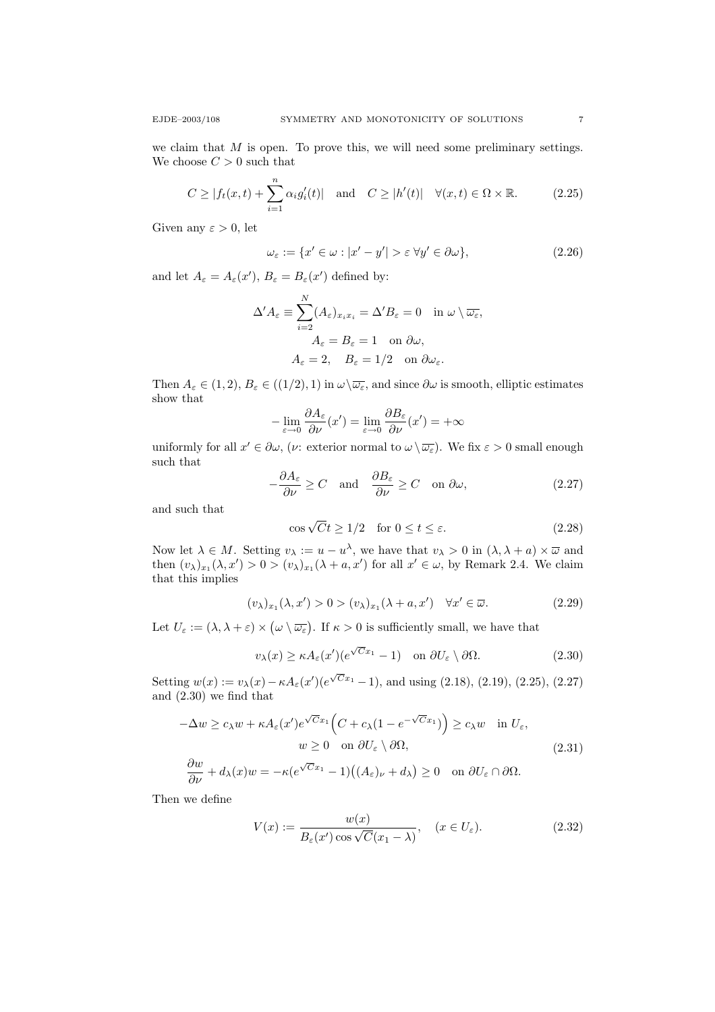we claim that  $M$  is open. To prove this, we will need some preliminary settings. We choose  $C > 0$  such that

$$
C \ge |f_t(x,t) + \sum_{i=1}^n \alpha_i g'_i(t)| \quad \text{and} \quad C \ge |h'(t)| \quad \forall (x,t) \in \Omega \times \mathbb{R}.\tag{2.25}
$$

Given any  $\varepsilon > 0$ , let

$$
\omega_{\varepsilon} := \{ x' \in \omega : |x' - y'| > \varepsilon \,\forall y' \in \partial \omega \},\tag{2.26}
$$

and let  $A_{\varepsilon} = A_{\varepsilon}(x')$ ,  $B_{\varepsilon} = B_{\varepsilon}(x')$  defined by:

$$
\Delta' A_{\varepsilon} \equiv \sum_{i=2}^{N} (A_{\varepsilon})_{x_i x_i} = \Delta' B_{\varepsilon} = 0 \quad \text{in } \omega \setminus \overline{\omega_{\varepsilon}},
$$

$$
A_{\varepsilon} = B_{\varepsilon} = 1 \quad \text{on } \partial \omega,
$$

$$
A_{\varepsilon} = 2, \quad B_{\varepsilon} = 1/2 \quad \text{on } \partial \omega_{\varepsilon}.
$$

Then  $A_{\varepsilon} \in (1, 2), B_{\varepsilon} \in ((1/2), 1)$  in  $\omega \backslash \overline{\omega_{\varepsilon}}$ , and since  $\partial \omega$  is smooth, elliptic estimates show that

$$
-\lim_{\varepsilon \to 0} \frac{\partial A_{\varepsilon}}{\partial \nu}(x') = \lim_{\varepsilon \to 0} \frac{\partial B_{\varepsilon}}{\partial \nu}(x') = +\infty
$$

uniformly for all  $x' \in \partial \omega$ , (*v*: exterior normal to  $\omega \setminus \overline{\omega_{\varepsilon}}$ ). We fix  $\varepsilon > 0$  small enough such that

$$
-\frac{\partial A_{\varepsilon}}{\partial \nu} \ge C \quad \text{and} \quad \frac{\partial B_{\varepsilon}}{\partial \nu} \ge C \quad \text{on } \partial \omega,
$$
 (2.27)

and such that

$$
\cos\sqrt{C}t \ge 1/2 \quad \text{for } 0 \le t \le \varepsilon. \tag{2.28}
$$

Now let  $\lambda \in M$ . Setting  $v_{\lambda} := u - u^{\lambda}$ , we have that  $v_{\lambda} > 0$  in  $(\lambda, \lambda + a) \times \overline{\omega}$  and then  $(v_\lambda)_{x_1}(\lambda, x') > 0 > (v_\lambda)_{x_1}(\lambda + a, x')$  for all  $x' \in \omega$ , by Remark 2.4. We claim that this implies

$$
(\upsilon_{\lambda})_{x_1}(\lambda, x') > 0 > (\upsilon_{\lambda})_{x_1}(\lambda + a, x') \quad \forall x' \in \overline{\omega}.
$$
 (2.29)

Let  $U_{\varepsilon} := (\lambda, \lambda + \varepsilon) \times (\omega \setminus \overline{\omega_{\varepsilon}})$ . If  $\kappa > 0$  is sufficiently small, we have that

$$
v_{\lambda}(x) \ge \kappa A_{\varepsilon}(x') (e^{\sqrt{C}x_1} - 1) \quad \text{on } \partial U_{\varepsilon} \setminus \partial \Omega.
$$
 (2.30)

Setting  $w(x) := v_{\lambda}(x) - \kappa A_{\varepsilon}(x') (e^{\sqrt{C}x_1} - 1)$ , and using (2.18), (2.19), (2.25), (2.27) and (2.30) we find that

$$
-\Delta w \ge c_{\lambda} w + \kappa A_{\varepsilon}(x') e^{\sqrt{C}x_1} \left( C + c_{\lambda} (1 - e^{-\sqrt{C}x_1}) \right) \ge c_{\lambda} w \quad \text{in } U_{\varepsilon},
$$
  

$$
w \ge 0 \quad \text{on } \partial U_{\varepsilon} \setminus \partial \Omega,
$$
 (2.31)

$$
\frac{\partial w}{\partial \nu} + d_{\lambda}(x)w = -\kappa (e^{\sqrt{C}x_1} - 1)((A_{\varepsilon})_{\nu} + d_{\lambda}) \ge 0 \text{ on } \partial U_{\varepsilon} \cap \partial \Omega.
$$

Then we define

$$
V(x) := \frac{w(x)}{B_{\varepsilon}(x')\cos\sqrt{C}(x_1 - \lambda)}, \quad (x \in U_{\varepsilon}).
$$
\n(2.32)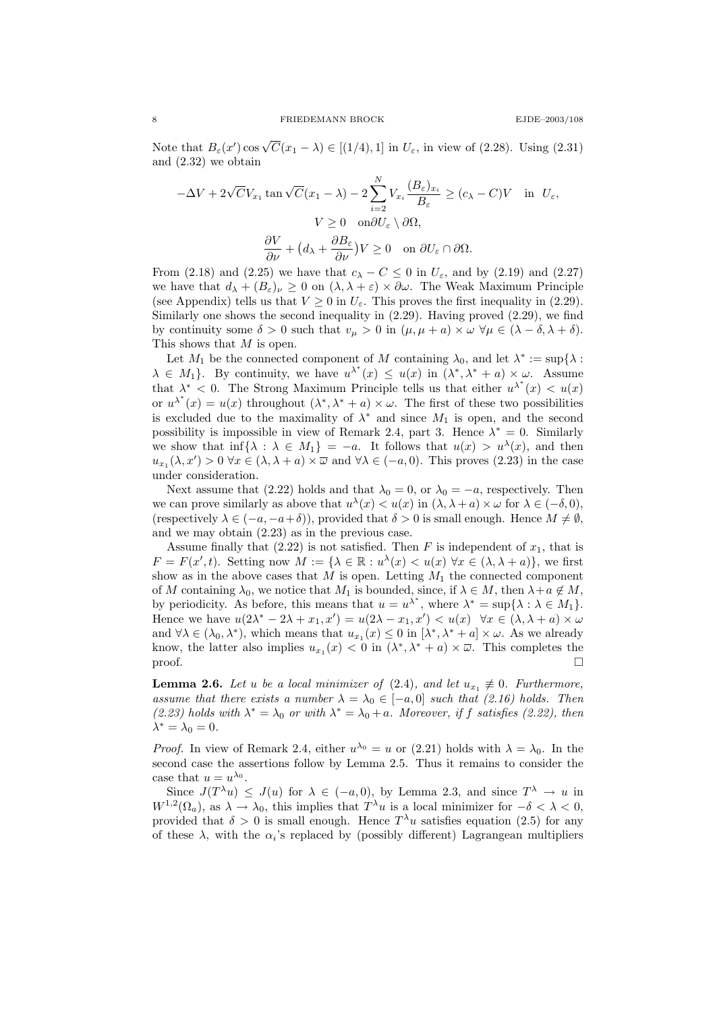Note that  $B_{\varepsilon}(x') \cos \sqrt{C}(x_1 - \lambda) \in [(1/4), 1]$  in  $U_{\varepsilon}$ , in view of (2.28). Using (2.31) and (2.32) we obtain

$$
-\Delta V + 2\sqrt{C}V_{x_1} \tan \sqrt{C}(x_1 - \lambda) - 2\sum_{i=2}^N V_{x_i} \frac{(B_{\varepsilon})_{x_i}}{B_{\varepsilon}} \ge (c_{\lambda} - C)V \quad \text{in} \quad U_{\varepsilon},
$$

$$
V \ge 0 \quad \text{on} \partial U_{\varepsilon} \setminus \partial \Omega,
$$

$$
\frac{\partial V}{\partial \nu} + (d_{\lambda} + \frac{\partial B_{\varepsilon}}{\partial \nu})V \ge 0 \quad \text{on} \quad \partial U_{\varepsilon} \cap \partial \Omega.
$$

From (2.18) and (2.25) we have that  $c_{\lambda} - C \leq 0$  in  $U_{\varepsilon}$ , and by (2.19) and (2.27) we have that  $d_{\lambda} + (B_{\varepsilon})_{\nu} \geq 0$  on  $(\lambda, \lambda + \varepsilon) \times \partial \omega$ . The Weak Maximum Principle (see Appendix) tells us that  $V \ge 0$  in  $U_{\varepsilon}$ . This proves the first inequality in (2.29). Similarly one shows the second inequality in (2.29). Having proved (2.29), we find by continuity some  $\delta > 0$  such that  $v_{\mu} > 0$  in  $(\mu, \mu + a) \times \omega \ \forall \mu \in (\lambda - \delta, \lambda + \delta).$ This shows that M is open.

Let  $M_1$  be the connected component of M containing  $\lambda_0$ , and let  $\lambda^* := \sup\{\lambda :$  $\lambda \in M_1$ . By continuity, we have  $u^{\lambda^*}(x) \leq u(x)$  in  $(\lambda^*, \lambda^* + a) \times \omega$ . Assume that  $\lambda^*$  < 0. The Strong Maximum Principle tells us that either  $u^{\lambda^*}(x) < u(x)$ or  $u^{\lambda^*}(x) = u(x)$  throughout  $(\lambda^*, \lambda^* + a) \times \omega$ . The first of these two possibilities is excluded due to the maximality of  $\lambda^*$  and since  $M_1$  is open, and the second possibility is impossible in view of Remark 2.4, part 3. Hence  $\lambda^* = 0$ . Similarly we show that  $\inf \{\lambda : \lambda \in M_1\} = -a$ . It follows that  $u(x) > u^{\lambda}(x)$ , and then  $u_{x_1}(\lambda, x') > 0 \,\forall x \in (\lambda, \lambda + a) \times \overline{\omega}$  and  $\forall \lambda \in (-a, 0)$ . This proves (2.23) in the case under consideration.

Next assume that (2.22) holds and that  $\lambda_0 = 0$ , or  $\lambda_0 = -a$ , respectively. Then we can prove similarly as above that  $u^{\lambda}(x) < u(x)$  in  $(\lambda, \lambda + a) \times \omega$  for  $\lambda \in (-\delta, 0)$ , (respectively  $\lambda \in (-a, -a+\delta)$ ), provided that  $\delta > 0$  is small enough. Hence  $M \neq \emptyset$ , and we may obtain (2.23) as in the previous case.

Assume finally that  $(2.22)$  is not satisfied. Then F is independent of  $x_1$ , that is  $F = F(x', t)$ . Setting now  $M := \{ \lambda \in \mathbb{R} : u^{\lambda}(x) < u(x) \,\forall x \in (\lambda, \lambda + a) \},$  we first show as in the above cases that  $M$  is open. Letting  $M_1$  the connected component of M containing  $\lambda_0$ , we notice that  $M_1$  is bounded, since, if  $\lambda \in M$ , then  $\lambda + a \notin M$ , by periodicity. As before, this means that  $u = u^{\lambda^*}$ , where  $\lambda^* = \sup{\lambda : \lambda \in M_1}$ . Hence we have  $u(2\lambda^* - 2\lambda + x_1, x') = u(2\lambda - x_1, x') < u(x) \quad \forall x \in (\lambda, \lambda + a) \times \omega$ and  $\forall \lambda \in (\lambda_0, \lambda^*)$ , which means that  $u_{x_1}(x) \leq 0$  in  $[\lambda^*, \lambda^* + a] \times \omega$ . As we already know, the latter also implies  $u_{x_1}(x) < 0$  in  $(\lambda^*, \lambda^* + a) \times \overline{\omega}$ . This completes the  $\Box$ 

**Lemma 2.6.** Let u be a local minimizer of  $(2.4)$ , and let  $u_{x_1} \neq 0$ . Furthermore, assume that there exists a number  $\lambda = \lambda_0 \in [-a, 0]$  such that (2.16) holds. Then (2.23) holds with  $\lambda^* = \lambda_0$  or with  $\lambda^* = \lambda_0 + a$ . Moreover, if f satisfies (2.22), then  $\lambda^* = \lambda_0 = 0.$ 

*Proof.* In view of Remark 2.4, either  $u^{\lambda_0} = u$  or (2.21) holds with  $\lambda = \lambda_0$ . In the second case the assertions follow by Lemma 2.5. Thus it remains to consider the case that  $u = u^{\lambda_0}$ .

Since  $J(T^{\lambda}u) \leq J(u)$  for  $\lambda \in (-a,0)$ , by Lemma 2.3, and since  $T^{\lambda} \to u$  in  $W^{1,2}(\Omega_a)$ , as  $\lambda \to \lambda_0$ , this implies that  $T^{\lambda}u$  is a local minimizer for  $-\delta < \lambda < 0$ , provided that  $\delta > 0$  is small enough. Hence  $T^{\lambda}u$  satisfies equation (2.5) for any of these  $\lambda$ , with the  $\alpha_i$ 's replaced by (possibly different) Lagrangean multipliers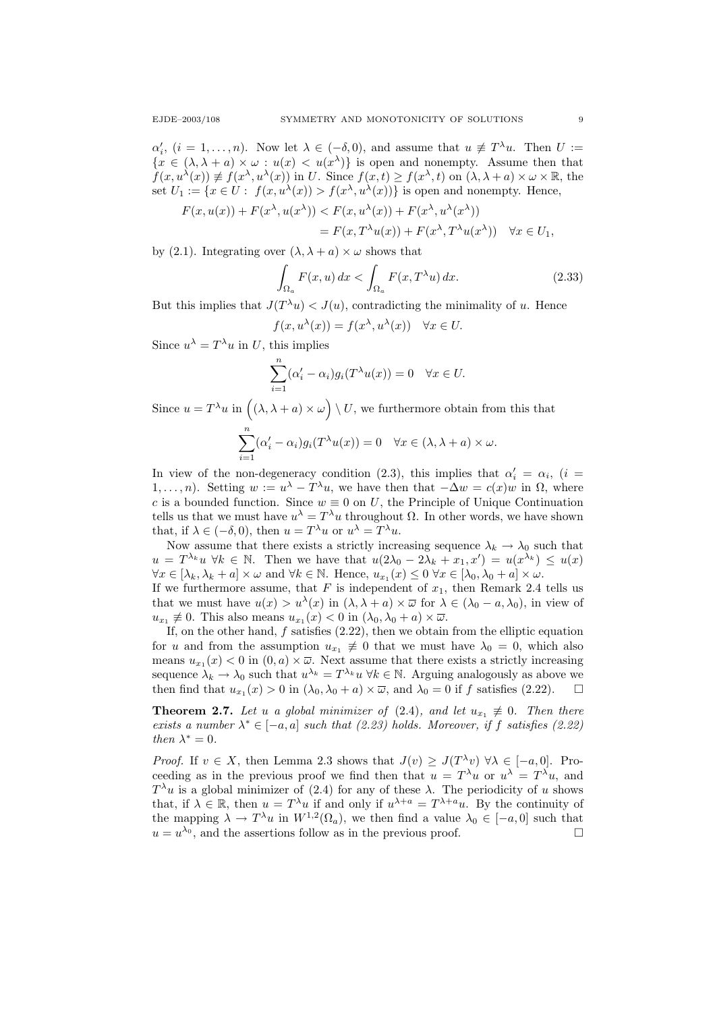$\alpha'_i$ ,  $(i = 1, \ldots, n)$ . Now let  $\lambda \in (-\delta, 0)$ , and assume that  $u \not\equiv T^{\lambda}u$ . Then  $U :=$  ${x \in (\lambda, \lambda + a) \times \omega : u(x) < u(x^{\lambda})}$  is open and nonempty. Assume then that  $f(x, u^{\lambda}(x)) \neq f(x^{\lambda}, u^{\lambda}(x))$  in U. Since  $f(x,t) \geq f(x^{\lambda}, t)$  on  $(\lambda, \lambda + a) \times \omega \times \mathbb{R}$ , the set  $U_1 := \{x \in U : f(x, u^{\lambda}(x)) > f(x^{\lambda}, u^{\lambda}(x))\}$  is open and nonempty. Hence,

$$
F(x, u(x)) + F(x^{\lambda}, u(x^{\lambda})) < F(x, u^{\lambda}(x)) + F(x^{\lambda}, u^{\lambda}(x^{\lambda}))
$$
  
= 
$$
F(x, T^{\lambda}u(x)) + F(x^{\lambda}, T^{\lambda}u(x^{\lambda})) \quad \forall x \in U_1,
$$

by (2.1). Integrating over  $(\lambda, \lambda + a) \times \omega$  shows that

$$
\int_{\Omega_a} F(x, u) dx < \int_{\Omega_a} F(x, T^{\lambda} u) dx.
$$
\n(2.33)

But this implies that  $J(T^{\lambda}u) < J(u)$ , contradicting the minimality of u. Hence

$$
f(x, u^{\lambda}(x)) = f(x^{\lambda}, u^{\lambda}(x)) \quad \forall x \in U.
$$

Since  $u^{\lambda} = T^{\lambda}u$  in U, this implies

$$
\sum_{i=1}^{n} (\alpha_i' - \alpha_i) g_i(T^{\lambda} u(x)) = 0 \quad \forall x \in U.
$$

Since  $u = T^{\lambda}u$  in  $((\lambda, \lambda + a) \times \omega) \setminus U$ , we furthermore obtain from this that

$$
\sum_{i=1}^{n} (\alpha_i' - \alpha_i) g_i(T^{\lambda} u(x)) = 0 \quad \forall x \in (\lambda, \lambda + a) \times \omega.
$$

In view of the non-degeneracy condition (2.3), this implies that  $\alpha'_i = \alpha_i$ , (i = 1,...,n). Setting  $w := u^{\lambda} - T^{\lambda}u$ , we have then that  $-\Delta w = c(x)w$  in  $\Omega$ , where c is a bounded function. Since  $w \equiv 0$  on U, the Principle of Unique Continuation tells us that we must have  $u^{\lambda} = T^{\lambda}u$  throughout  $\Omega$ . In other words, we have shown that, if  $\lambda \in (-\delta, 0)$ , then  $u = T^{\lambda}u$  or  $u^{\lambda} = T^{\lambda}u$ .

Now assume that there exists a strictly increasing sequence  $\lambda_k \to \lambda_0$  such that  $u = T^{\lambda_k}u \ \forall k \in \mathbb{N}$ . Then we have that  $u(2\lambda_0 - 2\lambda_k + x_1, x') = u(x^{\lambda_k}) \leq u(x)$  $\forall x \in [\lambda_k, \lambda_k + a] \times \omega \text{ and } \forall k \in \mathbb{N}. \text{ Hence, } u_{x_1}(x) \leq 0 \forall x \in [\lambda_0, \lambda_0 + a] \times \omega.$ 

If we furthermore assume, that F is independent of  $x_1$ , then Remark 2.4 tells us that we must have  $u(x) > u^{\lambda}(x)$  in  $(\lambda, \lambda + a) \times \overline{\omega}$  for  $\lambda \in (\lambda_0 - a, \lambda_0)$ , in view of  $u_{x_1} \neq 0$ . This also means  $u_{x_1}(x) < 0$  in  $(\lambda_0, \lambda_0 + a) \times \overline{\omega}$ .

If, on the other hand,  $f$  satisfies  $(2.22)$ , then we obtain from the elliptic equation for u and from the assumption  $u_{x_1} \neq 0$  that we must have  $\lambda_0 = 0$ , which also means  $u_{x_1}(x) < 0$  in  $(0, a) \times \overline{\omega}$ . Next assume that there exists a strictly increasing sequence  $\lambda_k \to \lambda_0$  such that  $u^{\lambda_k} = T^{\lambda_k} u \forall k \in \mathbb{N}$ . Arguing analogously as above we then find that  $u_{x_1}(x) > 0$  in  $(\lambda_0, \lambda_0 + a) \times \overline{\omega}$ , and  $\lambda_0 = 0$  if f satisfies (2.22).

**Theorem 2.7.** Let u a global minimizer of (2.4), and let  $u_{x_1} \neq 0$ . Then there exists a number  $\lambda^* \in [-a, a]$  such that (2.23) holds. Moreover, if f satisfies (2.22) then  $\lambda^* = 0$ .

*Proof.* If  $v \in X$ , then Lemma 2.3 shows that  $J(v) \geq J(T^{\lambda}v)$   $\forall \lambda \in [-a,0]$ . Proceeding as in the previous proof we find then that  $u = T^{\lambda}u$  or  $u^{\lambda} = T^{\lambda}u$ , and  $T^{\lambda}u$  is a global minimizer of (2.4) for any of these  $\lambda$ . The periodicity of u shows that, if  $\lambda \in \mathbb{R}$ , then  $u = T^{\lambda}u$  if and only if  $u^{\lambda+a} = T^{\lambda+a}u$ . By the continuity of the mapping  $\lambda \to T^{\lambda}u$  in  $W^{1,2}(\Omega_a)$ , we then find a value  $\lambda_0 \in [-a,0]$  such that  $u = u^{\lambda_0}$ , and the assertions follow as in the previous proof.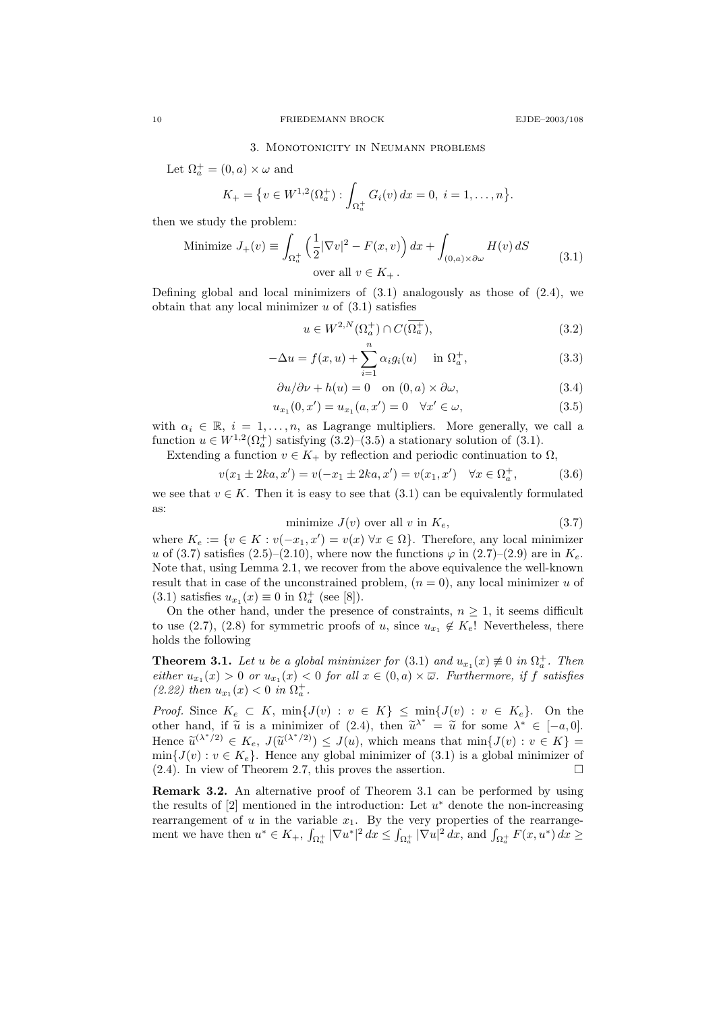### 3. Monotonicity in Neumann problems

Let  $\Omega_a^+ = (0, a) \times \omega$  and

$$
K_{+} = \{v \in W^{1,2}(\Omega_{a}^{+}) : \int_{\Omega_{a}^{+}} G_{i}(v) dx = 0, \ i = 1, \ldots, n\}.
$$

then we study the problem:

Minimize 
$$
J_{+}(v) \equiv \int_{\Omega_a^+} \left(\frac{1}{2} |\nabla v|^2 - F(x, v)\right) dx + \int_{(0, a) \times \partial \omega} H(v) dS
$$
 (3.1)  
over all  $v \in K_+$ .

Defining global and local minimizers of  $(3.1)$  analogously as those of  $(2.4)$ , we obtain that any local minimizer  $u$  of  $(3.1)$  satisfies

$$
u \in W^{2,N}(\Omega_a^+) \cap C(\overline{\Omega_a^+}),\tag{3.2}
$$

$$
-\Delta u = f(x, u) + \sum_{i=1}^{n} \alpha_i g_i(u) \quad \text{in } \Omega_a^+,
$$
 (3.3)

$$
\frac{\partial u}{\partial \nu} + h(u) = 0 \quad \text{on } (0, a) \times \partial \omega,
$$
\n(3.4)

$$
u_{x_1}(0, x') = u_{x_1}(a, x') = 0 \quad \forall x' \in \omega,
$$
\n(3.5)

with  $\alpha_i \in \mathbb{R}$ ,  $i = 1, \ldots, n$ , as Lagrange multipliers. More generally, we call a function  $u \in W^{1,2}(\Omega_a^+)$  satisfying  $(3.2)$ - $(3.5)$  a stationary solution of  $(3.1)$ .

Extending a function  $v \in K_+$  by reflection and periodic continuation to  $\Omega$ ,

$$
v(x_1 \pm 2ka, x') = v(-x_1 \pm 2ka, x') = v(x_1, x') \quad \forall x \in \Omega_a^+, \tag{3.6}
$$

we see that  $v \in K$ . Then it is easy to see that  $(3.1)$  can be equivalently formulated as:

$$
minimize J(v) over all v in Ke, \t\t(3.7)
$$

where  $K_e := \{v \in K : v(-x_1, x') = v(x) \,\forall x \in \Omega\}$ . Therefore, any local minimizer u of (3.7) satisfies (2.5)–(2.10), where now the functions  $\varphi$  in (2.7)–(2.9) are in  $K_e$ . Note that, using Lemma 2.1, we recover from the above equivalence the well-known result that in case of the unconstrained problem,  $(n = 0)$ , any local minimizer u of (3.1) satisfies  $u_{x_1}(x) \equiv 0$  in  $\Omega_a^+$  (see [8]).

On the other hand, under the presence of constraints,  $n \geq 1$ , it seems difficult to use (2.7), (2.8) for symmetric proofs of u, since  $u_{x_1} \notin K_e!$  Nevertheless, there holds the following

**Theorem 3.1.** Let u be a global minimizer for  $(3.1)$  and  $u_{x_1}(x) \neq 0$  in  $\Omega_a^+$ . Then either  $u_{x_1}(x) > 0$  or  $u_{x_1}(x) < 0$  for all  $x \in (0, a) \times \overline{\omega}$ . Furthermore, if f satisfies (2.22) then  $u_{x_1}(x) < 0$  in  $\Omega_a^+$ .

*Proof.* Since  $K_e \subset K$ ,  $\min\{J(v) : v \in K\} \leq \min\{J(v) : v \in K_e\}$ . On the other hand, if  $\tilde{u}$  is a minimizer of (2.4), then  $\tilde{u}^{\lambda^*} = \tilde{u}$  for some  $\lambda^* \in [-a, 0]$ .<br>Hence  $\tilde{u}^{(\lambda^*/2)} \subset K$ ,  $I(\tilde{u}^{(\lambda^*/2)}) \subset I(u)$ , which means that  $\min\{I(u): u \in K\}$ Hence  $\widetilde{u}^{(\lambda^*/2)} \in K_e$ ,  $J(\widetilde{u}^{(\lambda^*/2)}) \leq J(u)$ , which means that  $\min\{J(v) : v \in K\}$  =  $\min\{J(v) : v \in K\}$ . Hence any global minimizer of  $(3,1)$  is a global minimizer of  $min{J(v) : v \in K_e}$ . Hence any global minimizer of  $(3.1)$  is a global minimizer of (2.4). In view of Theorem 2.7, this proves the assertion.

Remark 3.2. An alternative proof of Theorem 3.1 can be performed by using the results of  $[2]$  mentioned in the introduction: Let  $u^*$  denote the non-increasing rearrangement of  $u$  in the variable  $x_1$ . By the very properties of the rearrangement we have then  $u^* \in K_+$ ,  $\int_{\Omega_a^+} |\nabla u^*|^2 dx \le \int_{\Omega_a^+} |\nabla u|^2 dx$ , and  $\int_{\Omega_a^+} F(x, u^*) dx \ge$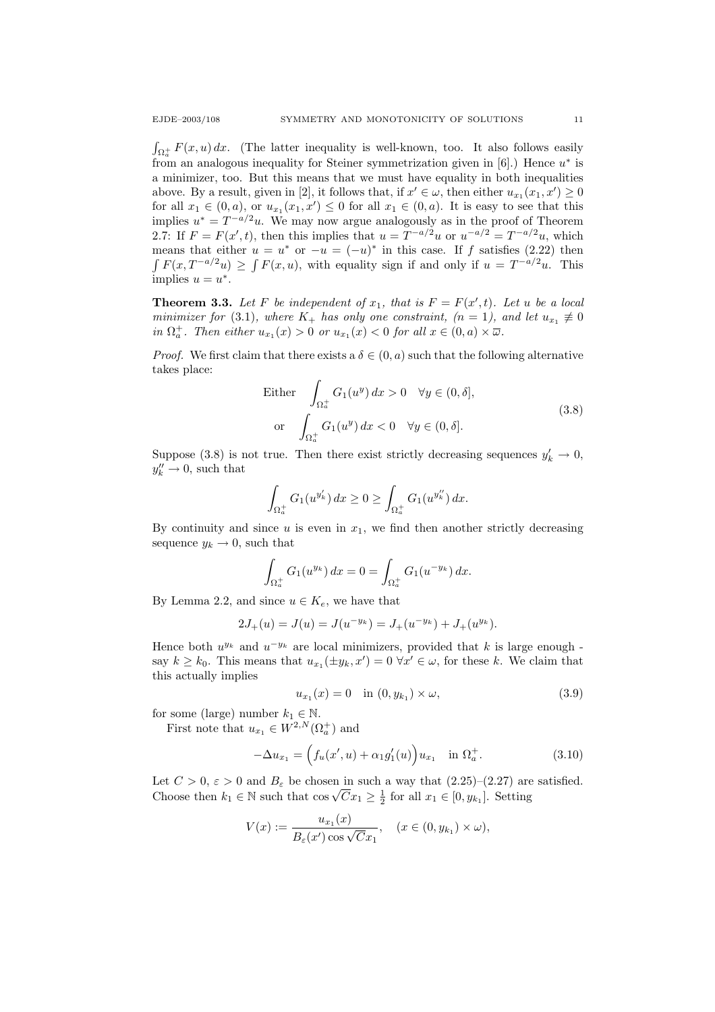$\int_{\Omega_a^+} F(x, u) dx$ . (The latter inequality is well-known, too. It also follows easily from an analogous inequality for Steiner symmetrization given in  $[6]$ .) Hence  $u^*$  is a minimizer, too. But this means that we must have equality in both inequalities above. By a result, given in [2], it follows that, if  $x' \in \omega$ , then either  $u_{x_1}(x_1, x') \ge 0$ for all  $x_1 \in (0, a)$ , or  $u_{x_1}(x_1, x') \leq 0$  for all  $x_1 \in (0, a)$ . It is easy to see that this implies  $u^* = T^{-a/2}u$ . We may now argue analogously as in the proof of Theorem 2.7: If  $F = F(x', t)$ , then this implies that  $u = T^{-a/2}u$  or  $u^{-a/2} = T^{-a/2}u$ , which means that either  $u = u^*$  or  $-u = (-u)^*$  in this case. If f satisfies (2.22) then  $\int F(x, T^{-a/2}u) \geq \int F(x, u)$ , with equality sign if and only if  $u = T^{-a/2}u$ . This implies  $u = u^*$ .

**Theorem 3.3.** Let F be independent of  $x_1$ , that is  $F = F(x', t)$ . Let u be a local minimizer for (3.1), where  $K_+$  has only one constraint,  $(n = 1)$ , and let  $u_{x_1} \neq 0$ in  $\Omega_a^+$ . Then either  $u_{x_1}(x) > 0$  or  $u_{x_1}(x) < 0$  for all  $x \in (0, a) \times \overline{\omega}$ .

*Proof.* We first claim that there exists a  $\delta \in (0, a)$  such that the following alternative takes place:

Either 
$$
\int_{\Omega_a^+} G_1(u^y) dx > 0 \quad \forall y \in (0, \delta],
$$
  
or 
$$
\int_{\Omega_a^+} G_1(u^y) dx < 0 \quad \forall y \in (0, \delta].
$$
 (3.8)

Suppose (3.8) is not true. Then there exist strictly decreasing sequences  $y'_k \to 0$ ,  $y_k'' \to 0$ , such that

$$
\int_{\Omega_a^+} G_1(u^{y'_k}) dx \ge 0 \ge \int_{\Omega_a^+} G_1(u^{y''_k}) dx.
$$

By continuity and since  $u$  is even in  $x_1$ , we find then another strictly decreasing sequence  $y_k \to 0$ , such that

$$
\int_{\Omega_a^+} G_1(u^{y_k}) dx = 0 = \int_{\Omega_a^+} G_1(u^{-y_k}) dx.
$$

By Lemma 2.2, and since  $u \in K_e$ , we have that

$$
2J_{+}(u) = J(u) = J(u^{-y_{k}}) = J_{+}(u^{-y_{k}}) + J_{+}(u^{y_{k}}).
$$

Hence both  $u^{y_k}$  and  $u^{-y_k}$  are local minimizers, provided that k is large enough say  $k \geq k_0$ . This means that  $u_{x_1}(\pm y_k, x') = 0 \,\forall x' \in \omega$ , for these k. We claim that this actually implies

$$
u_{x_1}(x) = 0 \quad \text{in } (0, y_{k_1}) \times \omega,
$$
\n(3.9)

for some (large) number  $k_1 \in \mathbb{N}$ .

First note that  $u_{x_1} \in W^{2,N}(\Omega_a^+)$  and

$$
-\Delta u_{x_1} = \left( f_u(x', u) + \alpha_1 g'_1(u) \right) u_{x_1} \quad \text{in } \Omega_a^+.
$$
 (3.10)

Let  $C > 0$ ,  $\varepsilon > 0$  and  $B_{\varepsilon}$  be chosen in such a way that  $(2.25)-(2.27)$  are satisfied. Let  $C > 0$ ,  $\varepsilon > 0$  and  $D_{\varepsilon}$  be chosen in such a way that  $(2.25)-(2.27)$  are<br>Choose then  $k_1 \in \mathbb{N}$  such that  $\cos \sqrt{C} x_1 \ge \frac{1}{2}$  for all  $x_1 \in [0, y_{k_1}]$ . Setting

$$
V(x) := \frac{u_{x_1}(x)}{B_{\varepsilon}(x')\cos\sqrt{C}x_1}, \quad (x \in (0, y_{k_1}) \times \omega),
$$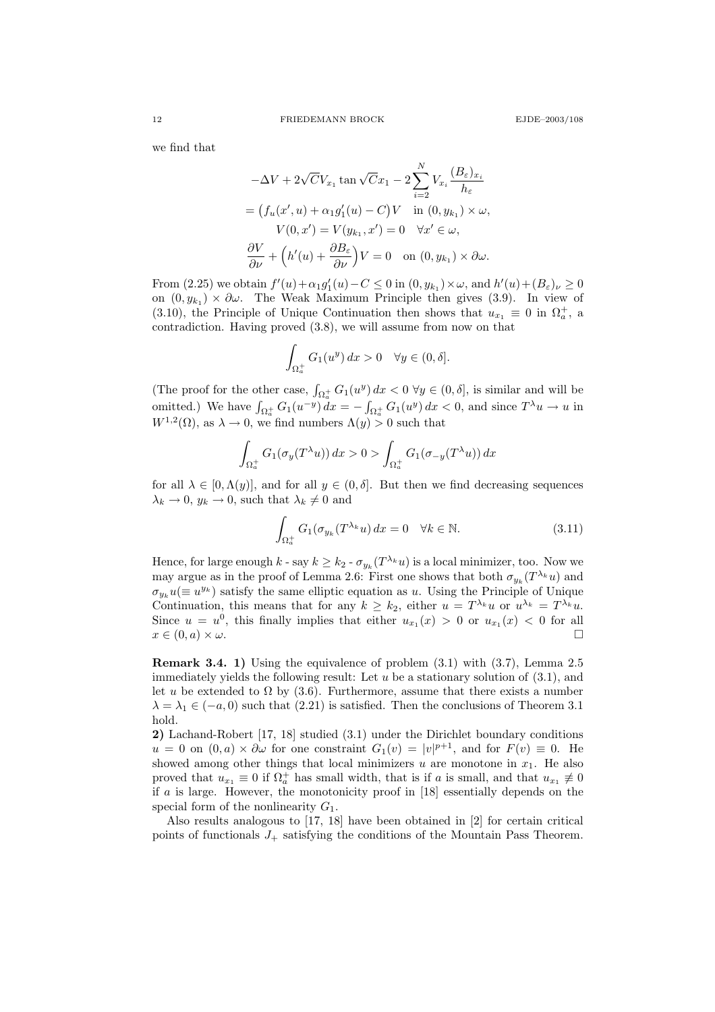we find that

$$
-\Delta V + 2\sqrt{C}V_{x_1} \tan \sqrt{C}x_1 - 2\sum_{i=2}^N V_{x_i} \frac{(B_{\varepsilon})_{x_i}}{h_{\varepsilon}}
$$
  
=  $(f_u(x', u) + \alpha_1 g'_1(u) - C)V$  in  $(0, y_{k_1}) \times \omega$ ,  
 $V(0, x') = V(y_{k_1}, x') = 0 \quad \forall x' \in \omega$ ,  
 $\frac{\partial V}{\partial \nu} + (h'(u) + \frac{\partial B_{\varepsilon}}{\partial \nu})V = 0$  on  $(0, y_{k_1}) \times \partial \omega$ .

From (2.25) we obtain  $f'(u) + \alpha_1 g'_1(u) - C \le 0$  in  $(0, y_{k_1}) \times \omega$ , and  $h'(u) + (B_{\varepsilon})_{\nu} \ge 0$ on  $(0, y_{k_1}) \times \partial \omega$ . The Weak Maximum Principle then gives (3.9). In view of (3.10), the Principle of Unique Continuation then shows that  $u_{x_1} \equiv 0$  in  $\Omega_a^+$ , a contradiction. Having proved (3.8), we will assume from now on that

$$
\int_{\Omega_a^+} G_1(u^y) dx > 0 \quad \forall y \in (0, \delta].
$$

(The proof for the other case,  $\int_{\Omega_a^+} G_1(u^y) dx < 0 \ \forall y \in (0, \delta],$  is similar and will be omitted.) We have  $\int_{\Omega_a^+} G_1(u^{-y}) dx = - \int_{\Omega_a^+} G_1(u^y) dx < 0$ , and since  $T^{\lambda} u \to u$  in  $W^{1,2}(\Omega)$ , as  $\lambda \to 0$ , we find numbers  $\Lambda(y) > 0$  such that

$$
\int_{\Omega_a^+} G_1(\sigma_y(T^{\lambda}u)) dx > 0 > \int_{\Omega_a^+} G_1(\sigma_{-y}(T^{\lambda}u)) dx
$$

for all  $\lambda \in [0, \Lambda(y)]$ , and for all  $y \in (0, \delta]$ . But then we find decreasing sequences  $\lambda_k \to 0$ ,  $y_k \to 0$ , such that  $\lambda_k \neq 0$  and

$$
\int_{\Omega_a^+} G_1(\sigma_{y_k}(T^{\lambda_k}u) dx = 0 \quad \forall k \in \mathbb{N}.
$$
\n(3.11)

Hence, for large enough  $k$  - say  $k \geq k_2$  -  $\sigma_{y_k}(T^{\lambda_k}u)$  is a local minimizer, too. Now we may argue as in the proof of Lemma 2.6: First one shows that both  $\sigma_{y_k}(T^{\lambda_k}u)$  and  $\sigma_{y_k} u (\equiv u^{y_k})$  satisfy the same elliptic equation as u. Using the Principle of Unique Continuation, this means that for any  $k \geq k_2$ , either  $u = T^{\lambda_k} u$  or  $u^{\lambda_k} = T^{\lambda_k} u$ . Since  $u = u^0$ , this finally implies that either  $u_{x_1}(x) > 0$  or  $u_{x_1}(x) < 0$  for all  $x \in (0, a) \times \omega$ .

Remark 3.4. 1) Using the equivalence of problem (3.1) with (3.7), Lemma 2.5 immediately yields the following result: Let  $u$  be a stationary solution of  $(3.1)$ , and let u be extended to  $\Omega$  by (3.6). Furthermore, assume that there exists a number  $\lambda = \lambda_1 \in (-a, 0)$  such that (2.21) is satisfied. Then the conclusions of Theorem 3.1 hold.

2) Lachand-Robert [17, 18] studied (3.1) under the Dirichlet boundary conditions  $u = 0$  on  $(0, a) \times \partial \omega$  for one constraint  $G_1(v) = |v|^{p+1}$ , and for  $F(v) \equiv 0$ . He showed among other things that local minimizers  $u$  are monotone in  $x_1$ . He also proved that  $u_{x_1} \equiv 0$  if  $\Omega_a^+$  has small width, that is if a is small, and that  $u_{x_1} \not\equiv 0$ if  $a$  is large. However, the monotonicity proof in  $[18]$  essentially depends on the special form of the nonlinearity  $G_1$ .

Also results analogous to [17, 18] have been obtained in [2] for certain critical points of functionals  $J_{+}$  satisfying the conditions of the Mountain Pass Theorem.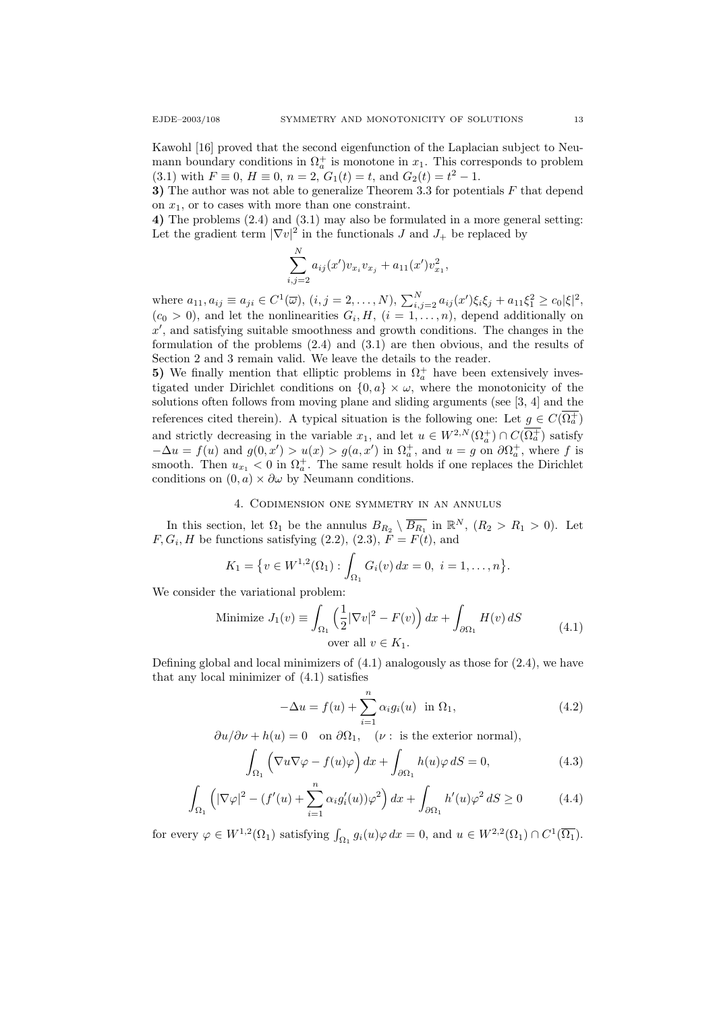Kawohl [16] proved that the second eigenfunction of the Laplacian subject to Neumann boundary conditions in  $\Omega_a^+$  is monotone in  $x_1$ . This corresponds to problem (3.1) with  $F \equiv 0$ ,  $H \equiv 0$ ,  $n = 2$ ,  $G_1(t) = t$ , and  $G_2(t) = t^2 - 1$ .

3) The author was not able to generalize Theorem 3.3 for potentials  $F$  that depend on  $x_1$ , or to cases with more than one constraint.

4) The problems (2.4) and (3.1) may also be formulated in a more general setting: Let the gradient term  $|\nabla v|^2$  in the functionals J and  $J_+$  be replaced by

$$
\sum_{i,j=2}^{N} a_{ij}(x')v_{x_i}v_{x_j} + a_{11}(x')v_{x_1}^2,
$$

where  $a_{11}, a_{ij} \equiv a_{ji} \in C^1(\overline{\omega}), (i, j = 2, ..., N), \sum_{i,j=2}^N a_{ij}(x') \xi_i \xi_j + a_{11} \xi_1^2 \ge c_0 |\xi|^2$ ,  $(c_0 > 0)$ , and let the nonlinearities  $G_i, H, (i = 1, ..., n)$ , depend additionally on  $x'$ , and satisfying suitable smoothness and growth conditions. The changes in the formulation of the problems (2.4) and (3.1) are then obvious, and the results of Section 2 and 3 remain valid. We leave the details to the reader.

5) We finally mention that elliptic problems in  $\Omega_a^+$  have been extensively investigated under Dirichlet conditions on  $\{0, a\} \times \omega$ , where the monotonicity of the solutions often follows from moving plane and sliding arguments (see [3, 4] and the references cited therein). A typical situation is the following one: Let  $g \in C(\Omega_a^+)$ and strictly decreasing in the variable  $x_1$ , and let  $u \in W^{2,N}(\Omega_a^+) \cap C(\overline{\Omega_a^+})$  satisfy  $-\Delta u = f(u)$  and  $g(0, x') > u(x) > g(a, x')$  in  $\Omega_a^+$ , and  $u = g$  on  $\partial \Omega_a^+$ , where f is smooth. Then  $u_{x_1} < 0$  in  $\Omega_a^+$ . The same result holds if one replaces the Dirichlet conditions on  $(0, a) \times \partial \omega$  by Neumann conditions.

### 4. Codimension one symmetry in an annulus

In this section, let  $\Omega_1$  be the annulus  $B_{R_2} \setminus \overline{B_{R_1}}$  in  $\mathbb{R}^N$ ,  $(R_2 > R_1 > 0)$ . Let  $F, G_i, H$  be functions satisfying (2.2), (2.3),  $F = F(t)$ , and

$$
K_1 = \{ v \in W^{1,2}(\Omega_1) : \int_{\Omega_1} G_i(v) \, dx = 0, \ i = 1, \dots, n \}.
$$

We consider the variational problem:

Minimize 
$$
J_1(v) \equiv \int_{\Omega_1} \left(\frac{1}{2} |\nabla v|^2 - F(v)\right) dx + \int_{\partial \Omega_1} H(v) dS
$$
  
over all  $v \in K_1$ . (4.1)

Defining global and local minimizers of  $(4.1)$  analogously as those for  $(2.4)$ , we have that any local minimizer of (4.1) satisfies

$$
-\Delta u = f(u) + \sum_{i=1}^{n} \alpha_i g_i(u) \text{ in } \Omega_1,
$$
\n(4.2)

 $\partial u/\partial \nu + h(u) = 0$  on  $\partial \Omega_1$ , ( $\nu$ : is the exterior normal),

$$
\int_{\Omega_1} \left( \nabla u \nabla \varphi - f(u)\varphi \right) dx + \int_{\partial \Omega_1} h(u)\varphi \, dS = 0,\tag{4.3}
$$

$$
\int_{\Omega_1} \left( |\nabla \varphi|^2 - (f'(u) + \sum_{i=1}^n \alpha_i g'_i(u)) \varphi^2 \right) dx + \int_{\partial \Omega_1} h'(u) \varphi^2 dS \ge 0 \tag{4.4}
$$

for every  $\varphi \in W^{1,2}(\Omega_1)$  satisfying  $\int_{\Omega_1} g_i(u)\varphi dx = 0$ , and  $u \in W^{2,2}(\Omega_1) \cap C^1(\overline{\Omega_1})$ .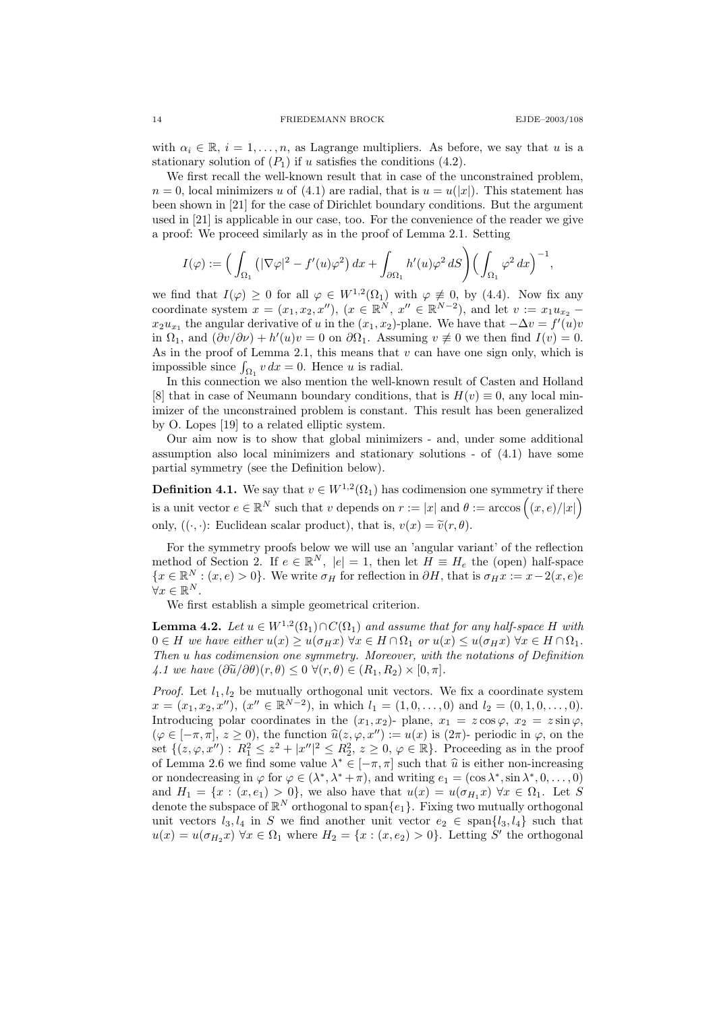with  $\alpha_i \in \mathbb{R}$ ,  $i = 1, \ldots, n$ , as Lagrange multipliers. As before, we say that u is a stationary solution of  $(P_1)$  if u satisfies the conditions  $(4.2)$ .

We first recall the well-known result that in case of the unconstrained problem,  $n = 0$ , local minimizers u of (4.1) are radial, that is  $u = u(|x|)$ . This statement has been shown in [21] for the case of Dirichlet boundary conditions. But the argument used in [21] is applicable in our case, too. For the convenience of the reader we give a proof: We proceed similarly as in the proof of Lemma 2.1. Setting

$$
I(\varphi) := \left( \int_{\Omega_1} \left( |\nabla \varphi|^2 - f'(u) \varphi^2 \right) dx + \int_{\partial \Omega_1} h'(u) \varphi^2 dS \right) \left( \int_{\Omega_1} \varphi^2 d x \right)^{-1},
$$

we find that  $I(\varphi) \geq 0$  for all  $\varphi \in W^{1,2}(\Omega_1)$  with  $\varphi \not\equiv 0$ , by (4.4). Now fix any coordinate system  $x = (x_1, x_2, x'')$ ,  $(x \in \mathbb{R}^N, x'' \in \mathbb{R}^{N-2})$ , and let  $v := x_1 u_{x_2}$  $x_2u_{x_1}$  the angular derivative of u in the  $(x_1, x_2)$ -plane. We have that  $-\Delta v = f'(u)v$ in  $\Omega_1$ , and  $(\partial v/\partial \nu) + h'(u)v = 0$  on  $\partial \Omega_1$ . Assuming  $v \neq 0$  we then find  $I(v) = 0$ . As in the proof of Lemma 2.1, this means that  $v$  can have one sign only, which is impossible since  $\int_{\Omega_1} v \, dx = 0$ . Hence u is radial.

In this connection we also mention the well-known result of Casten and Holland [8] that in case of Neumann boundary conditions, that is  $H(v) \equiv 0$ , any local minimizer of the unconstrained problem is constant. This result has been generalized by O. Lopes [19] to a related elliptic system.

Our aim now is to show that global minimizers - and, under some additional assumption also local minimizers and stationary solutions - of (4.1) have some partial symmetry (see the Definition below).

**Definition 4.1.** We say that  $v \in W^{1,2}(\Omega_1)$  has codimension one symmetry if there is a unit vector  $e \in \mathbb{R}^N$  such that v depends on  $r := |x|$  and  $\theta := \arccos((x, e)/|x|)$ only,  $((\cdot, \cdot))$ : Euclidean scalar product), that is,  $v(x) = \tilde{v}(r, \theta)$ .

For the symmetry proofs below we will use an 'angular variant' of the reflection method of Section 2. If  $e \in \mathbb{R}^N$ ,  $|e|=1$ , then let  $H \equiv H_e$  the (open) half-space  ${x \in \mathbb{R}^N : (x, e) > 0}.$  We write  $\sigma_H$  for reflection in  $\partial H$ , that is  $\sigma_H x := x - 2(x, e)e$  $\forall x \in \mathbb{R}^N$ .

We first establish a simple geometrical criterion.

**Lemma 4.2.** Let  $u \in W^{1,2}(\Omega_1) \cap C(\Omega_1)$  and assume that for any half-space H with  $0 \in H$  we have either  $u(x) \geq u(\sigma_H x) \ \forall x \in H \cap \Omega_1$  or  $u(x) \leq u(\sigma_H x) \ \forall x \in H \cap \Omega_1$ . Then u has codimension one symmetry. Moreover, with the notations of Definition 4.1 we have  $(\partial \widetilde{u}/\partial \theta)(r,\theta) \leq 0 \ \forall (r,\theta) \in (R_1,R_2) \times [0,\pi].$ 

*Proof.* Let  $l_1, l_2$  be mutually orthogonal unit vectors. We fix a coordinate system  $x = (x_1, x_2, x'')$ ,  $(x'' \in \mathbb{R}^{N-2})$ , in which  $l_1 = (1, 0, \ldots, 0)$  and  $l_2 = (0, 1, 0, \ldots, 0)$ . Introducing polar coordinates in the  $(x_1, x_2)$ - plane,  $x_1 = z \cos \varphi$ ,  $x_2 = z \sin \varphi$ ,  $(\varphi \in [-\pi, \pi], z \geq 0)$ , the function  $\widehat{u}(z, \varphi, x'') := u(x)$  is  $(2\pi)$ - periodic in  $\varphi$ , on the set  $\{(z,\varphi,x'') : R_1^2 \leq z^2 + |x''|^2 \leq R_2^2, z \geq 0, \varphi \in \mathbb{R}\}.$  Proceeding as in the proof of Lemma 2.6 we find some value  $\lambda^* \in [-\pi, \pi]$  such that  $\hat{u}$  is either non-increasing<br>or pondecreasing in  $(a \in (\lambda^* \lambda^* + \pi)$  and writing  $a = (\cos \lambda^* \sin \lambda^* \cdot 0$  (0) or nondecreasing in  $\varphi$  for  $\varphi \in (\lambda^*, \lambda^* + \pi)$ , and writing  $e_1 = (\cos \lambda^*, \sin \lambda^*, 0, \dots, 0)$ and  $H_1 = \{x : (x, e_1) > 0\}$ , we also have that  $u(x) = u(\sigma_{H_1} x)$   $\forall x \in \Omega_1$ . Let S denote the subspace of  $\mathbb{R}^N$  orthogonal to span $\{e_1\}$ . Fixing two mutually orthogonal unit vectors  $l_3, l_4$  in S we find another unit vector  $e_2 \in \text{span}\{l_3, l_4\}$  such that  $u(x) = u(\sigma_{H_2}x)$   $\forall x \in \Omega_1$  where  $H_2 = \{x : (x, e_2) > 0\}$ . Letting S' the orthogonal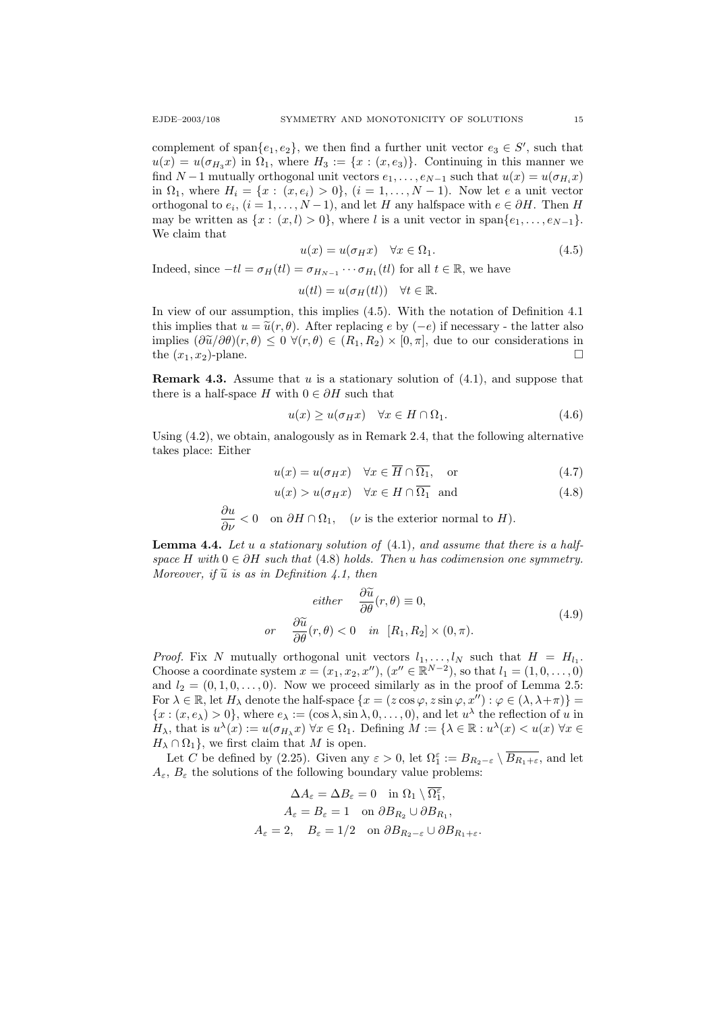complement of span $\{e_1, e_2\}$ , we then find a further unit vector  $e_3 \in S'$ , such that  $u(x) = u(\sigma_{H_3} x)$  in  $\Omega_1$ , where  $H_3 := \{x : (x, e_3)\}\$ . Continuing in this manner we find  $N-1$  mutually orthogonal unit vectors  $e_1, \ldots, e_{N-1}$  such that  $u(x) = u(\sigma_{H_i}x)$ in  $\Omega_1$ , where  $H_i = \{x : (x, e_i) > 0\}$ ,  $(i = 1, \ldots, N-1)$ . Now let e a unit vector orthogonal to  $e_i$ ,  $(i = 1, ..., N - 1)$ , and let H any halfspace with  $e \in \partial H$ . Then H may be written as  $\{x : (x, l) > 0\}$ , where l is a unit vector in span $\{e_1, \ldots, e_{N-1}\}$ . We claim that

$$
u(x) = u(\sigma_H x) \quad \forall x \in \Omega_1. \tag{4.5}
$$

Indeed, since  $-tl = \sigma_H(tl) = \sigma_{H_{N-1}} \cdots \sigma_{H_1}(tl)$  for all  $t \in \mathbb{R}$ , we have

$$
u(tl) = u(\sigma_H(tl)) \quad \forall t \in \mathbb{R}.
$$

In view of our assumption, this implies (4.5). With the notation of Definition 4.1 this implies that  $u = \tilde{u}(r, \theta)$ . After replacing e by (−e) if necessary - the latter also implies  $(\partial \widetilde{u}/\partial \theta)(r,\theta) \leq 0 \ \forall (r,\theta) \in (R_1,R_2) \times [0,\pi]$ , due to our considerations in the  $(x_1, x_2)$ -plane. the  $(x_1, x_2)$ -plane.

**Remark 4.3.** Assume that u is a stationary solution of  $(4.1)$ , and suppose that there is a half-space H with  $0 \in \partial H$  such that

$$
u(x) \ge u(\sigma_H x) \quad \forall x \in H \cap \Omega_1. \tag{4.6}
$$

Using (4.2), we obtain, analogously as in Remark 2.4, that the following alternative takes place: Either

$$
u(x) = u(\sigma_H x) \quad \forall x \in \overline{H} \cap \overline{\Omega_1}, \quad \text{or} \tag{4.7}
$$

$$
u(x) > u(\sigma_H x) \quad \forall x \in H \cap \overline{\Omega_1} \quad \text{and} \tag{4.8}
$$

$$
\frac{\partial u}{\partial \nu} < 0 \quad \text{on } \partial H \cap \Omega_1, \quad (\nu \text{ is the exterior normal to } H).
$$

**Lemma 4.4.** Let u a stationary solution of  $(4.1)$ , and assume that there is a halfspace H with  $0 \in \partial H$  such that (4.8) holds. Then u has codimension one symmetry. Moreover, if  $\tilde{u}$  is as in Definition 4.1, then

$$
either \quad \frac{\partial \widetilde{u}}{\partial \theta}(r,\theta) \equiv 0,
$$
  
or 
$$
\frac{\partial \widetilde{u}}{\partial \theta}(r,\theta) < 0 \quad in \quad [R_1, R_2] \times (0,\pi).
$$
 (4.9)

*Proof.* Fix N mutually orthogonal unit vectors  $l_1, \ldots, l_N$  such that  $H = H_{l_1}$ . Choose a coordinate system  $x = (x_1, x_2, x'')$ ,  $(x'' \in \mathbb{R}^{N-2})$ , so that  $l_1 = (1, 0, ..., 0)$ and  $l_2 = (0, 1, 0, \ldots, 0)$ . Now we proceed similarly as in the proof of Lemma 2.5: For  $\lambda \in \mathbb{R}$ , let  $H_{\lambda}$  denote the half-space  $\{x = (z \cos \varphi, z \sin \varphi, x'') : \varphi \in (\lambda, \lambda + \pi)\}$  ${x : (x, e_\lambda) > 0}$ , where  $e_\lambda := (\cos \lambda, \sin \lambda, 0, \dots, 0)$ , and let  $u^\lambda$  the reflection of u in  $H_{\lambda}$ , that is  $u^{\lambda}(x) := u(\sigma_{H_{\lambda}}x)$   $\forall x \in \Omega_1$ . Defining  $M := {\lambda \in \mathbb{R} : u^{\lambda}(x) < u(x) \,\forall x \in \Omega_1}$  $H_{\lambda} \cap \Omega_1$ , we first claim that M is open.

Let C be defined by (2.25). Given any  $\varepsilon > 0$ , let  $\Omega_1^{\varepsilon} := B_{R_2-\varepsilon} \setminus \overline{B_{R_1+\varepsilon}}$ , and let  $A_{\varepsilon}$ ,  $B_{\varepsilon}$  the solutions of the following boundary value problems:

$$
\Delta A_{\varepsilon} = \Delta B_{\varepsilon} = 0 \quad \text{in } \Omega_1 \setminus \overline{\Omega_1^{\varepsilon}},
$$

$$
A_{\varepsilon} = B_{\varepsilon} = 1 \quad \text{on } \partial B_{R_2} \cup \partial B_{R_1},
$$

$$
A_{\varepsilon} = 2, \quad B_{\varepsilon} = 1/2 \quad \text{on } \partial B_{R_2 - \varepsilon} \cup \partial B_{R_1 + \varepsilon}.
$$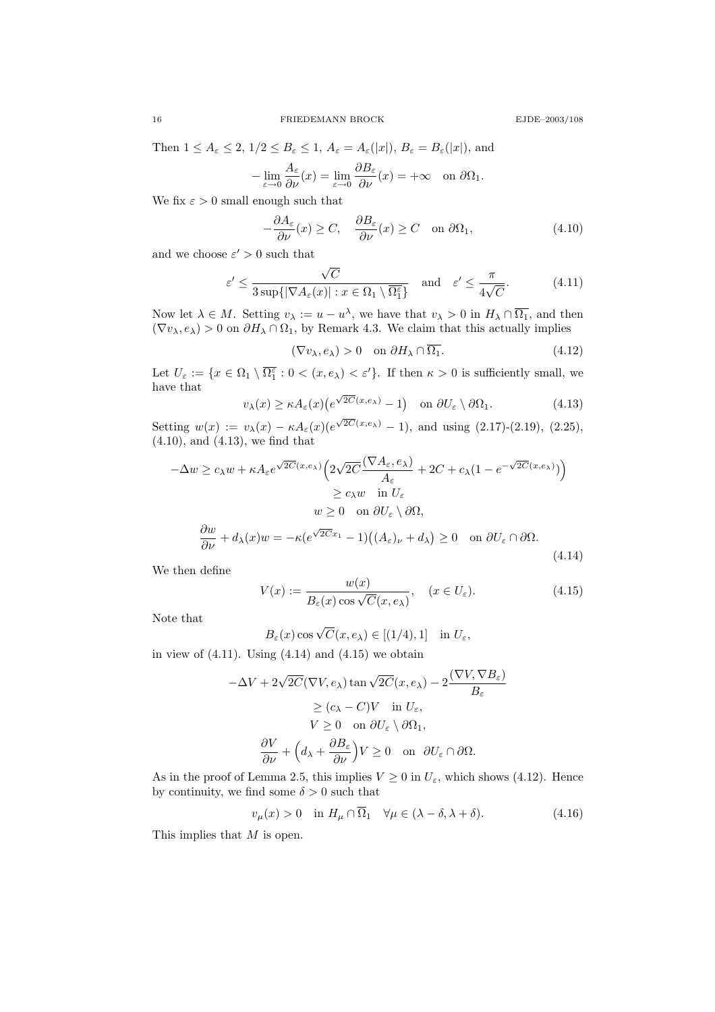16 FRIEDEMANN BROCK EJDE–2003/108

Then 
$$
1 \le A_{\varepsilon} \le 2
$$
,  $1/2 \le B_{\varepsilon} \le 1$ ,  $A_{\varepsilon} = A_{\varepsilon}(|x|)$ ,  $B_{\varepsilon} = B_{\varepsilon}(|x|)$ , and  
\n
$$
-\lim_{\varepsilon \to 0} \frac{A_{\varepsilon}}{\partial \nu}(x) = \lim_{\varepsilon \to 0} \frac{\partial B_{\varepsilon}}{\partial \nu}(x) = +\infty \quad \text{on } \partial \Omega_1.
$$

We fix  $\varepsilon>0$  small enough such that

$$
-\frac{\partial A_{\varepsilon}}{\partial \nu}(x) \ge C, \quad \frac{\partial B_{\varepsilon}}{\partial \nu}(x) \ge C \quad \text{on } \partial \Omega_1,\tag{4.10}
$$

and we choose  $\varepsilon' > 0$  such that

$$
\varepsilon' \le \frac{\sqrt{C}}{3 \sup\{|\nabla A_{\varepsilon}(x)| : x \in \Omega_1 \setminus \overline{\Omega_1^{\varepsilon}}\}} \quad \text{and} \quad \varepsilon' \le \frac{\pi}{4\sqrt{C}}.\tag{4.11}
$$

Now let  $\lambda \in M$ . Setting  $v_{\lambda} := u - u^{\lambda}$ , we have that  $v_{\lambda} > 0$  in  $H_{\lambda} \cap \overline{\Omega_1}$ , and then  $(\nabla v_\lambda, e_\lambda) > 0$  on  $\partial H_\lambda \cap \Omega_1$ , by Remark 4.3. We claim that this actually implies

$$
(\nabla v_{\lambda}, e_{\lambda}) > 0 \quad \text{on } \partial H_{\lambda} \cap \overline{\Omega_1}.
$$
 (4.12)

Let  $U_{\varepsilon} := \{x \in \Omega_1 \setminus \overline{\Omega_1^{\varepsilon}} : 0 < (x, e_{\lambda}) < \varepsilon'\}.$  If then  $\kappa > 0$  is sufficiently small, we have that √

$$
v_{\lambda}(x) \ge \kappa A_{\varepsilon}(x) \big( e^{\sqrt{2C}(x,e_{\lambda})} - 1 \big) \quad \text{on } \partial U_{\varepsilon} \setminus \partial \Omega_1. \tag{4.13}
$$

Setting  $w(x) := v_{\lambda}(x) - \kappa A_{\varepsilon}(x) (e^{\sqrt{2C}(x,e_{\lambda})}-1)$ , and using (2.17)-(2.19), (2.25), (4.10), and (4.13), we find that

$$
-\Delta w \ge c_{\lambda} w + \kappa A_{\varepsilon} e^{\sqrt{2C}(x,e_{\lambda})} \left( 2\sqrt{2C} \frac{(\nabla A_{\varepsilon}, e_{\lambda})}{A_{\varepsilon}} + 2C + c_{\lambda} (1 - e^{-\sqrt{2C}(x,e_{\lambda})}) \right)
$$
  
\n
$$
\ge c_{\lambda} w \quad \text{in } U_{\varepsilon}
$$
  
\n
$$
w \ge 0 \quad \text{on } \partial U_{\varepsilon} \setminus \partial \Omega,
$$
  
\n
$$
\frac{\partial w}{\partial \nu} + d_{\lambda}(x) w = -\kappa (e^{\sqrt{2C}x_1} - 1) \left( (A_{\varepsilon})_{\nu} + d_{\lambda} \right) \ge 0 \quad \text{on } \partial U_{\varepsilon} \cap \partial \Omega.
$$
  
\n(4.14)

We then define

$$
V(x) := \frac{w(x)}{B_{\varepsilon}(x)\cos\sqrt{C}(x, e_{\lambda})}, \quad (x \in U_{\varepsilon}).
$$
\n(4.15)

Note that

$$
B_{\varepsilon}(x)\cos\sqrt{C}(x,e_{\lambda}) \in [(1/4),1] \text{ in } U_{\varepsilon},
$$

in view of  $(4.11)$ . Using  $(4.14)$  and  $(4.15)$  we obtain

$$
-\Delta V + 2\sqrt{2C}(\nabla V, e_{\lambda})\tan\sqrt{2C}(x, e_{\lambda}) - 2\frac{(\nabla V, \nabla B_{\varepsilon})}{B_{\varepsilon}}
$$
  
\n
$$
\geq (c_{\lambda} - C)V \quad \text{in } U_{\varepsilon},
$$
  
\n
$$
V \geq 0 \quad \text{on } \partial U_{\varepsilon} \setminus \partial \Omega_1,
$$
  
\n
$$
\frac{\partial V}{\partial \nu} + \left(d_{\lambda} + \frac{\partial B_{\varepsilon}}{\partial \nu}\right)V \geq 0 \quad \text{on } \partial U_{\varepsilon} \cap \partial \Omega.
$$

As in the proof of Lemma 2.5, this implies  $V \geq 0$  in  $U_{\varepsilon}$ , which shows (4.12). Hence by continuity, we find some  $\delta > 0$  such that

$$
v_{\mu}(x) > 0 \quad \text{in } H_{\mu} \cap \overline{\Omega}_1 \quad \forall \mu \in (\lambda - \delta, \lambda + \delta). \tag{4.16}
$$

This implies that M is open.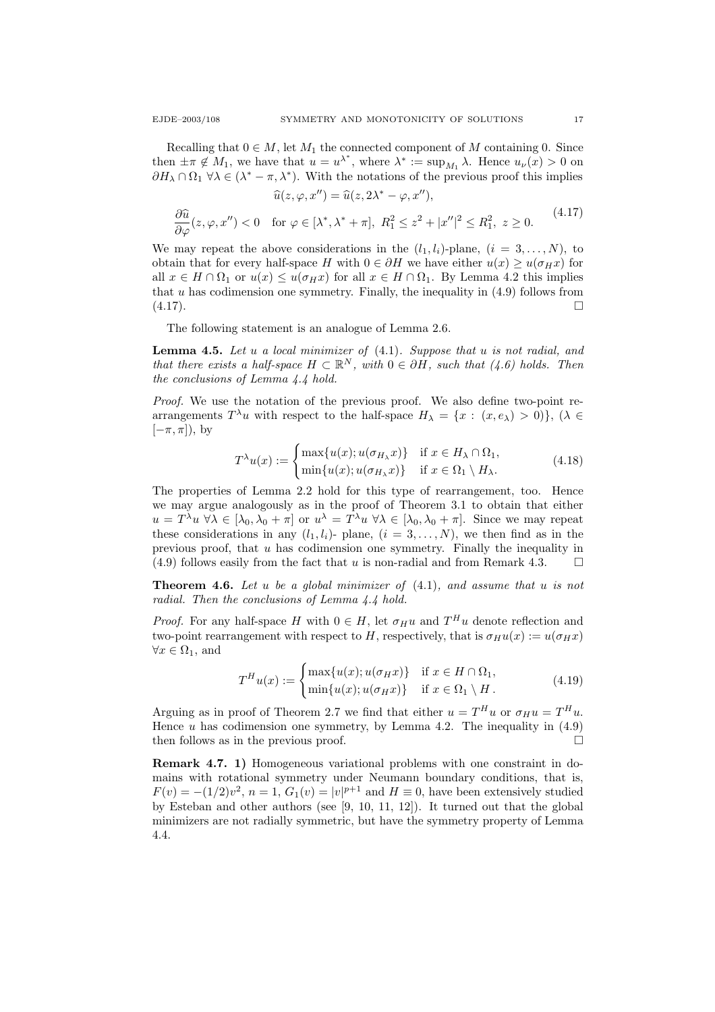Recalling that  $0 \in M$ , let  $M_1$  the connected component of M containing 0. Since then  $\pm \pi \notin M_1$ , we have that  $u = u^{\lambda^*}$ , where  $\lambda^* := \sup_{M_1} \lambda$ . Hence  $u_{\nu}(x) > 0$  on  $\partial H_{\lambda} \cap \Omega_1 \ \forall \lambda \in (\lambda^* - \pi, \lambda^*)$ . With the notations of the previous proof this implies

$$
\widehat{u}(z,\varphi,x'') = \widehat{u}(z,2\lambda^* - \varphi,x''),
$$
  

$$
\frac{\partial \widehat{u}}{\partial \varphi}(z,\varphi,x'') < 0 \quad \text{for } \varphi \in [\lambda^*,\lambda^* + \pi], \ R_1^2 \le z^2 + |x''|^2 \le R_1^2, \ z \ge 0.
$$
 (4.17)

We may repeat the above considerations in the  $(l_1, l_i)$ -plane,  $(i = 3, \ldots, N)$ , to obtain that for every half-space H with  $0 \in \partial H$  we have either  $u(x) \geq u(\sigma_H x)$  for all  $x \in H \cap \Omega_1$  or  $u(x) \leq u(\sigma_H x)$  for all  $x \in H \cap \Omega_1$ . By Lemma 4.2 this implies that  $u$  has codimension one symmetry. Finally, the inequality in  $(4.9)$  follows from  $(4.17).$ 

The following statement is an analogue of Lemma 2.6.

**Lemma 4.5.** Let u a local minimizer of  $(4.1)$ . Suppose that u is not radial, and that there exists a half-space  $H \subset \mathbb{R}^N$ , with  $0 \in \partial H$ , such that  $(4.6)$  holds. Then the conclusions of Lemma 4.4 hold.

Proof. We use the notation of the previous proof. We also define two-point rearrangements  $T^{\lambda}u$  with respect to the half-space  $H_{\lambda} = \{x : (x, e_{\lambda}) > 0\}, (\lambda \in$  $[-\pi, \pi]$ ), by

$$
T^{\lambda}u(x) := \begin{cases} \max\{u(x); u(\sigma_{H_{\lambda}}x)\} & \text{if } x \in H_{\lambda} \cap \Omega_1, \\ \min\{u(x); u(\sigma_{H_{\lambda}}x)\} & \text{if } x \in \Omega_1 \setminus H_{\lambda}. \end{cases}
$$
(4.18)

The properties of Lemma 2.2 hold for this type of rearrangement, too. Hence we may argue analogously as in the proof of Theorem 3.1 to obtain that either  $u = T^{\lambda}u \,\forall \lambda \in [\lambda_0, \lambda_0 + \pi]$  or  $u^{\lambda} = T^{\lambda}u \,\forall \lambda \in [\lambda_0, \lambda_0 + \pi]$ . Since we may repeat these considerations in any  $(l_1, l_i)$ - plane,  $(i = 3, ..., N)$ , we then find as in the previous proof, that  $u$  has codimension one symmetry. Finally the inequality in  $(4.9)$  follows easily from the fact that u is non-radial and from Remark 4.3.

**Theorem 4.6.** Let u be a global minimizer of  $(4.1)$ , and assume that u is not radial. Then the conclusions of Lemma 4.4 hold.

*Proof.* For any half-space H with  $0 \in H$ , let  $\sigma_H u$  and  $T^H u$  denote reflection and two-point rearrangement with respect to H, respectively, that is  $\sigma_H u(x) := u(\sigma_H x)$  $\forall x \in \Omega_1$ , and

$$
T^{H}u(x) := \begin{cases} \max\{u(x); u(\sigma_{H}x)\} & \text{if } x \in H \cap \Omega_{1}, \\ \min\{u(x); u(\sigma_{H}x)\} & \text{if } x \in \Omega_{1} \setminus H. \end{cases}
$$
(4.19)

Arguing as in proof of Theorem 2.7 we find that either  $u = T^H u$  or  $\sigma_H u = T^H u$ . Hence  $u$  has codimension one symmetry, by Lemma 4.2. The inequality in  $(4.9)$ then follows as in the previous proof.  $\square$ 

Remark 4.7. 1) Homogeneous variational problems with one constraint in domains with rotational symmetry under Neumann boundary conditions, that is,  $F(v) = -(1/2)v^2$ ,  $n = 1$ ,  $G_1(v) = |v|^{p+1}$  and  $H \equiv 0$ , have been extensively studied by Esteban and other authors (see [9, 10, 11, 12]). It turned out that the global minimizers are not radially symmetric, but have the symmetry property of Lemma 4.4.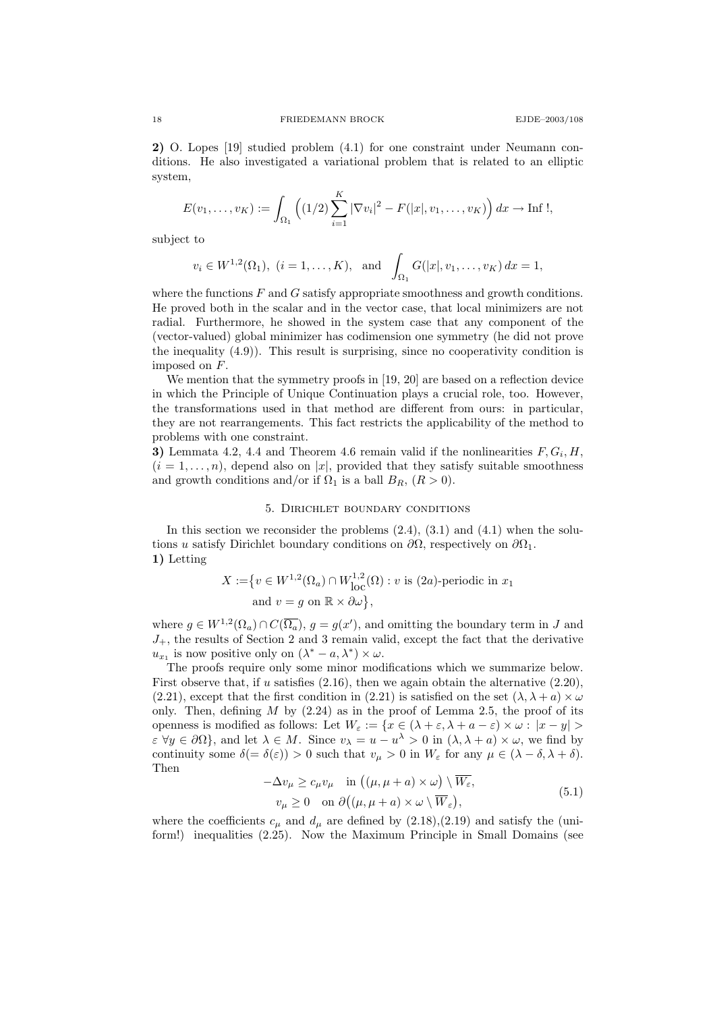2) O. Lopes [19] studied problem (4.1) for one constraint under Neumann conditions. He also investigated a variational problem that is related to an elliptic system,

$$
E(v_1,\ldots,v_K) := \int_{\Omega_1} \left( (1/2) \sum_{i=1}^K |\nabla v_i|^2 - F(|x|,v_1,\ldots,v_K) \right) dx \to \text{Inf }!
$$

subject to

$$
v_i \in W^{1,2}(\Omega_1)
$$
,  $(i = 1,..., K)$ , and  $\int_{\Omega_1} G(|x|, v_1,..., v_K) dx = 1$ ,

where the functions  $F$  and  $G$  satisfy appropriate smoothness and growth conditions. He proved both in the scalar and in the vector case, that local minimizers are not radial. Furthermore, he showed in the system case that any component of the (vector-valued) global minimizer has codimension one symmetry (he did not prove the inequality  $(4.9)$ . This result is surprising, since no cooperativity condition is imposed on F.

We mention that the symmetry proofs in [19, 20] are based on a reflection device in which the Principle of Unique Continuation plays a crucial role, too. However, the transformations used in that method are different from ours: in particular, they are not rearrangements. This fact restricts the applicability of the method to problems with one constraint.

3) Lemmata 4.2, 4.4 and Theorem 4.6 remain valid if the nonlinearities  $F, G_i, H$ ,  $(i = 1, \ldots, n)$ , depend also on |x|, provided that they satisfy suitable smoothness and growth conditions and/or if  $\Omega_1$  is a ball  $B_R$ ,  $(R > 0)$ .

### 5. Dirichlet boundary conditions

In this section we reconsider the problems  $(2.4)$ ,  $(3.1)$  and  $(4.1)$  when the solutions u satisfy Dirichlet boundary conditions on  $\partial\Omega$ , respectively on  $\partial\Omega_1$ . 1) Letting

$$
X := \{ v \in W^{1,2}(\Omega_a) \cap W^{1,2}_{loc}(\Omega) : v \text{ is (2a)-periodic in } x_1 \text{ and } v = g \text{ on } \mathbb{R} \times \partial \omega \},
$$

where  $g \in W^{1,2}(\Omega_a) \cap C(\overline{\Omega_a})$ ,  $g = g(x')$ , and omitting the boundary term in J and  $J_{+}$ , the results of Section 2 and 3 remain valid, except the fact that the derivative  $u_{x_1}$  is now positive only on  $(\lambda^* - a, \lambda^*) \times \omega$ .

The proofs require only some minor modifications which we summarize below. First observe that, if u satisfies  $(2.16)$ , then we again obtain the alternative  $(2.20)$ , (2.21), except that the first condition in (2.21) is satisfied on the set  $(\lambda, \lambda + a) \times \omega$ only. Then, defining  $M$  by (2.24) as in the proof of Lemma 2.5, the proof of its openness is modified as follows: Let  $W_{\varepsilon} := \{x \in (\lambda + \varepsilon, \lambda + a - \varepsilon) \times \omega : |x - y| > \varepsilon\}$  $\varepsilon \ \forall y \in \partial \Omega$ , and let  $\lambda \in M$ . Since  $v_{\lambda} = u - u^{\lambda} > 0$  in  $(\lambda, \lambda + a) \times \omega$ , we find by continuity some  $\delta(=\delta(\varepsilon)) > 0$  such that  $v_{\mu} > 0$  in  $W_{\varepsilon}$  for any  $\mu \in (\lambda - \delta, \lambda + \delta)$ . Then

$$
-\Delta v_{\mu} \ge c_{\mu} v_{\mu} \quad \text{in } ((\mu, \mu + a) \times \omega) \setminus \overline{W_{\varepsilon}},
$$
  

$$
v_{\mu} \ge 0 \quad \text{on } \partial((\mu, \mu + a) \times \omega \setminus \overline{W_{\varepsilon}}),
$$
 (5.1)

where the coefficients  $c_{\mu}$  and  $d_{\mu}$  are defined by (2.18),(2.19) and satisfy the (uniform!) inequalities (2.25). Now the Maximum Principle in Small Domains (see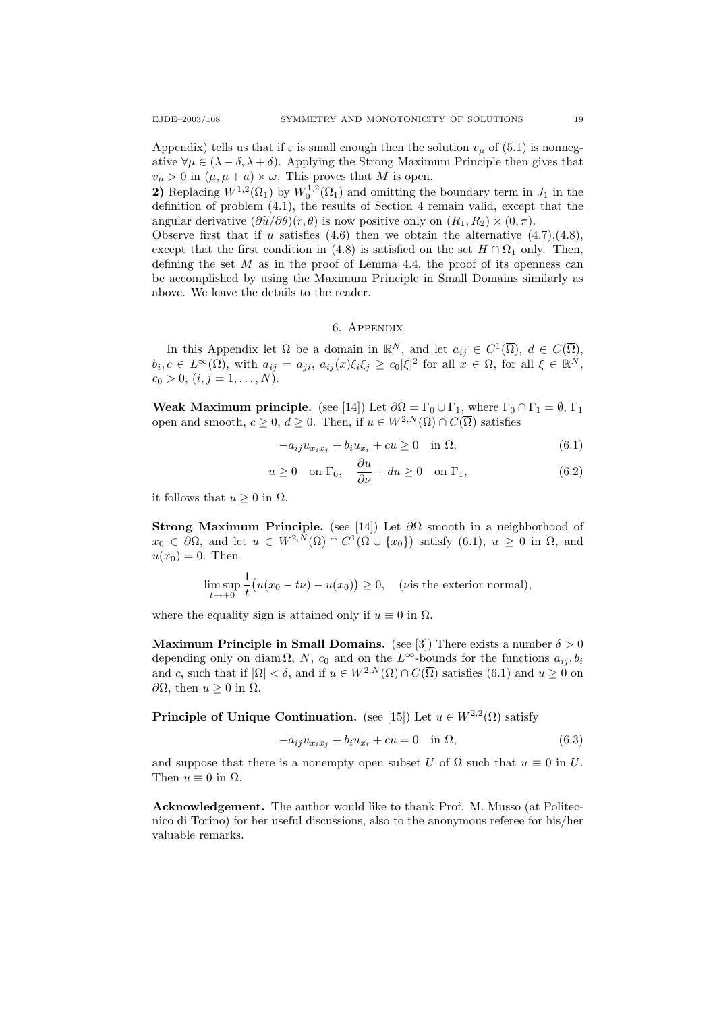Appendix) tells us that if  $\varepsilon$  is small enough then the solution  $v_\mu$  of (5.1) is nonnegative  $\forall \mu \in (\lambda - \delta, \lambda + \delta)$ . Applying the Strong Maximum Principle then gives that  $v_{\mu} > 0$  in  $(\mu, \mu + a) \times \omega$ . This proves that M is open.

2) Replacing  $W^{1,2}(\Omega_1)$  by  $W_0^{1,2}(\Omega_1)$  and omitting the boundary term in  $J_1$  in the definition of problem (4.1), the results of Section 4 remain valid, except that the angular derivative  $(\partial \tilde{u}/\partial \theta)(r, \theta)$  is now positive only on  $(R_1, R_2) \times (0, \pi)$ .

Observe first that if u satisfies  $(4.6)$  then we obtain the alternative  $(4.7),(4.8)$ , except that the first condition in (4.8) is satisfied on the set  $H \cap \Omega_1$  only. Then, defining the set  $M$  as in the proof of Lemma 4.4, the proof of its openness can be accomplished by using the Maximum Principle in Small Domains similarly as above. We leave the details to the reader.

## 6. Appendix

In this Appendix let  $\Omega$  be a domain in  $\mathbb{R}^N$ , and let  $a_{ij} \in C^1(\overline{\Omega})$ ,  $d \in C(\overline{\Omega})$ ,  $b_i, c \in L^{\infty}(\Omega)$ , with  $a_{ij} = a_{ji}, a_{ij}(x)\xi_i\xi_j \geq c_0|\xi|^2$  for all  $x \in \Omega$ , for all  $\xi \in \mathbb{R}^N$ ,  $c_0 > 0, (i, j = 1, \ldots, N).$ 

Weak Maximum principle. (see [14]) Let  $\partial\Omega = \Gamma_0 \cup \Gamma_1$ , where  $\Gamma_0 \cap \Gamma_1 = \emptyset$ ,  $\Gamma_1$ open and smooth,  $c \geq 0$ ,  $d \geq 0$ . Then, if  $u \in W^{2,N}(\Omega) \cap C(\overline{\Omega})$  satisfies

$$
-a_{ij}u_{x_ix_j} + b_iu_{x_i} + cu \ge 0 \quad \text{in } \Omega,\tag{6.1}
$$

$$
u \ge 0
$$
 on  $\Gamma_0$ ,  $\frac{\partial u}{\partial \nu} + du \ge 0$  on  $\Gamma_1$ , (6.2)

it follows that  $u \geq 0$  in  $\Omega$ .

Strong Maximum Principle. (see [14]) Let  $\partial\Omega$  smooth in a neighborhood of  $x_0 \in \partial\Omega$ , and let  $u \in W^{2,N}(\Omega) \cap C^1(\Omega \cup \{x_0\})$  satisfy  $(6.1)$ ,  $u \geq 0$  in  $\Omega$ , and  $u(x_0) = 0$ . Then

$$
\limsup_{t \to +0} \frac{1}{t} \big( u(x_0 - t\nu) - u(x_0) \big) \ge 0, \quad (\text{vis the exterior normal}),
$$

where the equality sign is attained only if  $u \equiv 0$  in  $\Omega$ .

Maximum Principle in Small Domains. (see [3]) There exists a number  $\delta > 0$ depending only on diam  $\Omega$ , N,  $c_0$  and on the L<sup>∞</sup>-bounds for the functions  $a_{ij}, b_i$ and c, such that if  $|\Omega| < \delta$ , and if  $u \in W^{2,N}(\Omega) \cap C(\overline{\Omega})$  satisfies (6.1) and  $u \ge 0$  on  $∂Ω$ , then  $u ≥ 0$  in  $Ω$ .

**Principle of Unique Continuation.** (see [15]) Let  $u \in W^{2,2}(\Omega)$  satisfy

$$
-a_{ij}u_{x_ix_j} + b_iu_{x_i} + cu = 0 \quad \text{in } \Omega,\tag{6.3}
$$

and suppose that there is a nonempty open subset U of  $\Omega$  such that  $u \equiv 0$  in U. Then  $u \equiv 0$  in  $\Omega$ .

Acknowledgement. The author would like to thank Prof. M. Musso (at Politecnico di Torino) for her useful discussions, also to the anonymous referee for his/her valuable remarks.